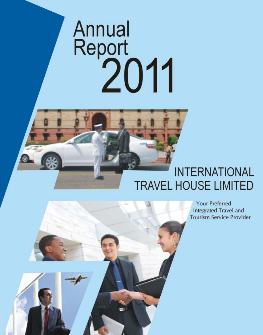# Annual Report<br>2011

# **INTERNATIONAL TRAVEL HOUSE LIMITED**



**Your Preferred Integrated Travel and Tourism Service Provider**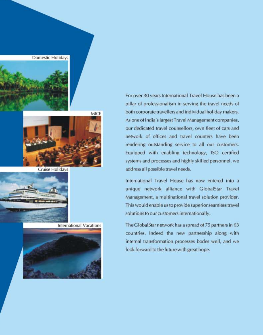



**Cruise Holidays** 



**International Vacations** 



For over 30 years International Travel House has been a pillar of professionalism in serving the travel needs of both corporate travellers and individual holiday makers. As one of India's largest Travel Management companies, our dedicated travel counsellors, own fleet of cars and network of offices and travel counters have been rendering outstanding service to all our customers. Equipped with enabling technology, ISO certified systems and processes and highly skilled personnel, we address all possible travel needs.

International Travel House has now entered into a unique network alliance with GlobalStar Travel Management, a multinational travel solution provider. This would enable us to provide superior seamless travel solutions to our customers internationally.

The GlobalStar network has a spread of 75 partners in 63 countries. Indeed the new partnership along with internal transformation processes bodes well, and we look forward to the future with great hope.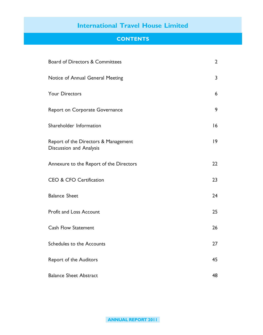## **CONTENTS**

| Board of Directors & Committees                                 | $\overline{2}$ |
|-----------------------------------------------------------------|----------------|
| Notice of Annual General Meeting                                | 3              |
| <b>Your Directors</b>                                           | 6              |
| Report on Corporate Governance                                  | 9              |
| Shareholder Information                                         | 16             |
| Report of the Directors & Management<br>Discussion and Analysis | 9              |
| Annexure to the Report of the Directors                         | 22             |
| <b>CEO &amp; CFO Certification</b>                              | 23             |
| <b>Balance Sheet</b>                                            | 24             |
| Profit and Loss Account                                         | 25             |
| <b>Cash Flow Statement</b>                                      | 26             |
| Schedules to the Accounts                                       | 27             |
| Report of the Auditors                                          | 45             |
| <b>Balance Sheet Abstract</b>                                   | 48             |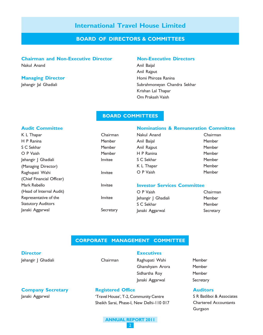#### BOARD OF DIRECTORS & COMMITTEES

#### Chairman and Non-Executive Director Non-Executive Directors

Nakul Anand **Anil Baijal** 

#### **Managing Director Homi Phiroze Ranina**

Anil Rajput Jehangir Jal Ghadiali Subrahmoneyan Chandra Sekhar Krishan Lal Thapar Om Prakash Vaish

#### BOARD COMMITTEES

Chairman **Member Member** Member **Invitee** 

Secretary

#### Audit Committee

| K L Thapar                | Chairr      |
|---------------------------|-------------|
| H P Ranina                | Memb        |
| S C Sekhar                | Membe       |
| O P Vaish                 | <b>Memb</b> |
| Jehangir J Ghadiali       | Invitee     |
| (Managing Director)       |             |
| Raghupati Wahi            | Invitee     |
| (Chief Financial Officer) |             |
| Mark Rebello              | Invitee     |
| (Head of Internal Audit)  |             |
| Representative of the     | Invitee     |
| <b>Statutory Auditors</b> |             |
| Janaki Aggarwal           | Secret      |

|             | <b>Nominations &amp; Remuneration Committee</b> |
|-------------|-------------------------------------------------|
| Nakul Anand | Chairman                                        |
| Anil Baijal | Member                                          |
| Anil Rajput | Member                                          |
| H P Ranina  | Member                                          |
| S C Sekhar  | Member                                          |
| K L Thapar  | Member                                          |
| O P Vaish   | Member                                          |
|             |                                                 |
|             |                                                 |

#### Investor Services Committee

| O P Vaish           | Chairman  |
|---------------------|-----------|
| Jehangir J Ghadiali | Member    |
| S C Sekhar          | Member    |
| Janaki Aggarwal     | Secretary |
|                     |           |

#### CORPORATE MANAGEMENT COMMITTEE

#### **Director**

Jehangir J Ghadiali **Chairman** 

**Executives** 

Raghupati Wahi Member Ghanshyam Arora Member Sidhartha Roy Member Janaki Aggarwal Secretary

#### **Auditors**

S R Batliboi & Associates Chartered Accountants Gurgaon

## Company Secretary

Janaki Aggarwal

#### Registered Office

'Travel House', T-2, Community Centre Sheikh Sarai, Phase-I, New Delhi-110 017

#### ANNUAL REPORT 2011 2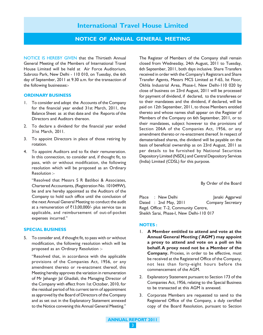#### NOTICE OF ANNUAL GENERAL MEETING

NOTICE IS HEREBY GIVEN that the Thirtieth Annual General Meeting of the Members of International Travel House Limited will be held at Air Force Auditorium, Subroto Park, New Delhi - 110 010, on Tuesday, the 6th day of September, 2011 at 9.30 a.m. for the transaction of the following businesses:-

#### ORDINARY BUSINESS

- 1. To consider and adopt the Accounts of the Company for the financial year ended 31st March, 2011, the Balance Sheet as at that date and the Reports of the Directors and Auditors thereon.
- 2. To declare a dividend for the financial year ended 31st March, 2011.
- 3. To appoint Directors in place of those retiring by rotation.
- 4. To appoint Auditors and to fix their remuneration. In this connection, to consider and, if thought fit, to pass, with or without modification, the following resolution which will be proposed as an Ordinary Resolution :-

"Resolved that Messrs S R Batliboi & Associates, Chartered Accountants, (Registration No. 101049W), be and are hereby appointed as the Auditors of the Company to hold such office until the conclusion of the next Annual General Meeting to conduct the audit at a remuneration of  $\overline{5}13,00,000$ /- plus service tax as applicable, and reimbursement of out-of-pocket expenses incurred."

#### SPECIAL BUSINESS

5. To consider and, if thought fit, to pass with or without modification, the following resolution which will be proposed as an Ordinary Resolution :-

"Resolved that, in accordance with the applicable provisions of the Companies Act, 1956, or any amendment thereto or re-enactment thereof, this Meeting hereby approves the variation in remuneration of Mr Jehangir Jal Ghadiali, the Managing Director of the Company with effect from 1st October, 2010, for the residual period of his current term of appointment as approved by the Board of Directors of the Company and as set out in the Explanatory Statement annexed to the Notice convening this Annual General Meeting."

The Register of Members of the Company shall remain closed from Wednesday, 24th August, 2011 to Tuesday, 6th September, 2011, both days inclusive. Share Transfers received in order with the Company's Registrars and Share Transfer Agents, Messrs MCS Limited at F-65, Ist Floor, Okhla Industrial Area, Phase-I, New Delhi-110 020 by close of business on 23rd August, 2011 will be processed for payment of dividend, if declared, to the transferees or to their mandatees and the dividend, if declared, will be paid on 12th September, 2011, to those Members entitled thereto and whose names shall appear on the Register of Members of the Company on 6th September, 2011, or to their mandatees, subject however to the provisions of Section 206A of the Companies Act, 1956, or any amendment thereto or re-enactment thereof. In respect of dematerialised shares, the dividend will be payable on the basis of beneficial ownership as on 23rd August, 2011 as per details to be furnished by National Securities Depository Limited (NSDL) and Central Depository Services (India) Limited (CDSL) for this purpose.

By Order of the Board

Place : New Delhi Janaki Aggarwal Dated : 2nd May, 2011 Company Secretary Regd. Office: T-2, Community Centre, Sheikh Sarai, Phase-I, New Delhi-110 017

#### NOTES :

- 1. A Member entitled to attend and vote at the Annual General Meeting ('AGM') may appoint a proxy to attend and vote on a poll on his behalf. A proxy need not be a Member of the Company. Proxies, in order to be effective, must be received at the Registered Office of the Company, not less than forty-eight hours before the commencement of the AGM.
- 2. Explanatory Statement pursuant to Section 173 of the Companies Act, 1956, relating to the Special Business to be transacted at this AGM is annexed.
- 3. Corporate Members are requested to send to the Registered Office of the Company, a duly certified copy of the Board Resolution, pursuant to Section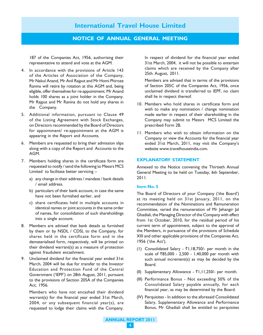#### NOTICE OF ANNUAL GENERAL MEETING

187 of the Companies Act, 1956, authorising their representative to attend and vote at the AGM.

- 4. In accordance with the provisions of Article 143 of the Articles of Association of the Company, Mr Nakul Anand, Mr Anil Rajput and Mr Homi Phiroze Ranina will retire by rotation at this AGM and, being eligible, offer themselves for re-appointment. Mr Anand holds 100 shares as a joint holder in the Company. Mr Rajput and Mr Ranina do not hold any shares in the Company.
- 5. Additional information, pursuant to Clause 49 of the Listing Agreement with Stock Exchanges, on Directors recommended by the Board of Directors for appointment/ re-appointment at the AGM is appearing in the Report and Accounts.
- 6. Members are requested to bring their admission slips along with a copy of the Report and Accounts to the AGM.
- 7. Members holding shares in the certificate form are requested to notify / send the following to Messrs MCS Limited to facilitate better servicing :
	- a) any change in their address / mandate / bank details / email address.
	- b) particulars of their bank account, in case the same have not been furnished earlier, and
	- c) share certificates held in multiple accounts in identical names or joint accounts in the same order of names, for consolidation of such shareholdings into a single account.
- 8. Members are advised that bank details as furnished by them or by NSDL / CDSL to the Company, for shares held in the certificate form and in the dematerialised form, respectively, will be printed on their dividend warrant(s) as a measure of protection against fraudulent encashment.
- 9. Unclaimed dividend for the financial year ended 31st March, 2004 will be due for transfer to the Investor Education and Protection Fund of the Central Government ('IEPF') on 28th August, 2011, pursuant to the provisions of Section 205A of the Companies Act, 1956.

Members who have not encashed their dividend warrant(s) for the financial year ended 31st March, 2004, or any subsequent financial year(s), are requested to lodge their claims with the Company.

In respect of dividend for the financial year ended 31st March, 2004, it will not be possible to entertain claims which are received by the Company after 25th August, 2011.

Members are advised that in terms of the provisions of Section 205C of the Companies Act, 1956, once unclaimed dividend is transferred to IEPF, no claim shall lie in respect thereof.

- 10. Members who hold shares in certificate form and wish to make any nomination / change nomination made earlier in respect of their shareholding in the Company may submit to Messrs MCS Limited the prescribed Form 2B.
- 11. Members who wish to obtain information on the Company or view the Accounts for the financial year ended 31st March, 2011, may visit the Company's website www.travelhouseindia.com.

#### EXPLANATORY STATEMENT

Annexed to the Notice convening the Thirtieth Annual General Meeting to be held on Tuesday, 6th September, 2011.

#### Item No. 5

The Board of Directors of your Company ('the Board') at its meeting held on 31st January, 2011, on the recommendation of the Nominations and Remuneration Committee, varied the remuneration of Mr Jehangir Jal Ghadiali, the Managing Director of the Company with effect from 1st October, 2010, for the residual period of his current term of appointment, subject to the approval of the Members, in pursuance of the provisions of Schedule XIII and other applicable provisions of the Companies Act, 1956 ('the Act').

- (1) Consolidated Salary  $\overline{51}$ ,18,750/- per month in the scale of ₹85,000 - 2,500 - 1,40,000 per month with such annual increment(s) as may be decided by the Board.
- (II) Supplementary Allowance  $\bar{\tau}$ 1,11,250/- per month.
- (III) Performance Bonus Not exceeding 50% of the Consolidated Salary payable annually, for each financial year, as may be determined by the Board.
- (IV) Perquisites In addition to the aforesaid Consolidated Salary, Supplementary Allowance and Performance Bonus, Mr Ghadiali shall be entitled to perquisites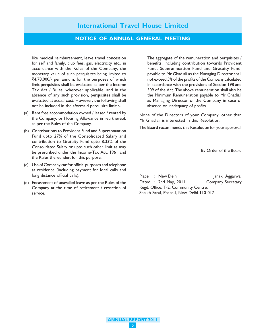#### NOTICE OF ANNUAL GENERAL MEETING

like medical reimbursement, leave travel concession for self and family, club fees, gas, electricity etc., in accordance with the Rules of the Company, the monetary value of such perquisites being limited to  $\overline{5}4,78,000$ /- per annum, for the purposes of which limit perquisites shall be evaluated as per the Income Tax Act / Rules, wherever applicable, and in the absence of any such provision, perquisites shall be evaluated at actual cost. However, the following shall not be included in the aforesaid perquisite limit :-

- (a) Rent free accommodation owned / leased / rented by the Company, or Housing Allowance in lieu thereof, as per the Rules of the Company.
- (b) Contributions to Provident Fund and Superannuation Fund upto 27% of the Consolidated Salary and contribution to Gratuity Fund upto 8.33% of the Consolidated Salary or upto such other limit as may be prescribed under the Income-Tax Act, 1961 and the Rules thereunder, for this purpose.
- (c) Use of Company car for official purposes and telephone at residence (including payment for local calls and long distance official calls).
- (d) Encashment of unavailed leave as per the Rules of the Company at the time of retirement / cessation of service.

The aggregate of the remuneration and perquisites / benefits, including contribution towards Provident Fund, Superannuation Fund and Gratuity Fund, payable to Mr Ghadiali as the Managing Director shall not exceed 5% of the profits of the Company calculated in accordance with the provisions of Section 198 and 309 of the Act. The above remuneration shall also be the Minimum Remuneration payable to Mr Ghadiali as Managing Director of the Company in case of absence or inadequacy of profits.

None of the Directors of your Company, other than Mr Ghadiali is interested in this Resolution.

The Board recommends this Resolution for your approval.

By Order of the Board

Place : New Delhi Janaki Aggarwal Dated : 2nd May, 2011 Company Secretary Regd. Office: T-2, Community Centre, Sheikh Sarai, Phase-I, New Delhi-110 017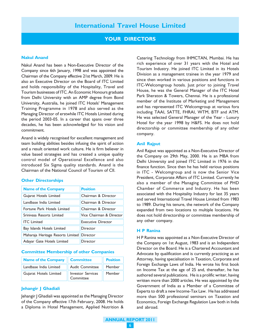#### YOUR DIRECTORS

#### Nakul Anand

Nakul Anand has been a Non-Executive Director of the Company since 6th January, 1998 and was appointed the Chairman of the Company effective 21st March, 2009. He is also an Executive Director on the Board of ITC Limited and holds responsibility of the Hospitality, Travel and Tourism businesses of ITC. An Economic Honours graduate from Delhi University with an AMP degree from Bond University, Australia, he joined ITC Hotels' Management Training Programme in 1978 and also served as the Managing Director of erstwhile ITC Hotels Limited during the period 2003-05. In a career that spans over three decades, he has been acknowledged for his vision and commitment.

Anand is widely recognised for excellent management and team building abilities besides infusing the spirit of action and a result oriented work culture. He is firm believer in value based strategies and has created a unique quality control model of Operational Excellence and also introduced Six Sigma quality standards. Anand is the Chairman of the National Council of Tourism of CII.

#### Other Directorships

| <b>Name of the Company</b>                 | <b>Position</b>           |
|--------------------------------------------|---------------------------|
| Gujarat Hotels Limited                     | Chairman & Director       |
| Landbase India Limited                     | Chairman & Director       |
| Fortune Park Hotels Limited                | Chairman & Director       |
| Srinivasa Resorts Limited                  | Vice Chairman & Director  |
| <b>ITC</b> Limited                         | <b>Executive Director</b> |
| Bay Islands Hotels Limited                 | Director                  |
| Maharaja Heritage Resorts Limited Director |                           |
| Adayar Gate Hotels Limited                 | Director                  |

#### Committee Membership of other Companies

| <b>Name of the Company</b> | Committee                             | <b>Position</b> |
|----------------------------|---------------------------------------|-----------------|
| Landbase India Limited     | <b>Audit Committee</b>                | Member          |
| Gujarat Hotels Limited     | <b>Investor Services</b><br>Committee | Member          |

#### Jehangir J Ghadiali

Jehangir J Ghadiali was appointed as the Managing Director of the Company effective 17th February, 2008. He holds a Diploma in Hotel Management, Applied Nutrition & Catering Technology from IHMCTAN, Mumbai. He has rich experience of over 31 years with the Hotel and Tourism Industry. He joined ITC Limited in its Hotels Division as a management trainee in the year 1979 and since then worked in various positions and functions in ITC-Welcomgroup hotels. Just prior to joining Travel House, he was the General Manager of the ITC Hotel Park Sheraton & Towers, Chennai. He is a professional member of the Institute of Marketing and Management and has represented ITC Welcomgroup at various fora including TAAI, SATTE, FHRAI, WTM, BTF and ATM. He was selected General Manager of the Year - Luxury Hotel for the year 1998 by H&FS. He does not hold directorship or committee membership of any other company.

#### Anil Rajput

Anil Rajput was appointed as a Non-Executive Director of the Company on 29th May, 2000. He is an MBA from Delhi University and joined ITC Limited in 1976 in the finance function. Since then he has held various positions in ITC - Welcomgroup and is now the Senior Vice President, Corporate Affairs of ITC Limited. Currently he also a member of the Managing Committee of PHD Chamber of Commerce and Industry. He has been associated with the Hospitality Industry for last 35 years and served International Travel House Limited from 1983 to 1989. During his tenure, the network of the Company expanded from two locations to multiple locations. He does not hold directorship or committee membership of any other company.

#### H P Ranina

H P Ranina was appointed as a Non-Executive Director of the Company on 1st August, 1983 and is an Independent Director on the Board. He is a Chartered Accountant and Advocate by qualification and is currently practicing as an Attorney, having specialisation in Taxation, Corporate and Foreign Exchange Laws of India. He wrote his first book on Income Tax at the age of 25 and, thereafter, he has authored several publications. He is a prolific writer, having written more than 2000 articles. He was appointed by the Government of India as a Member of a Committee of Experts to draft a new Income-Tax Law. He has addressed more than 500 professional seminars on Taxation and Economics, Foreign Exchange Regulation Law both in India and abroad.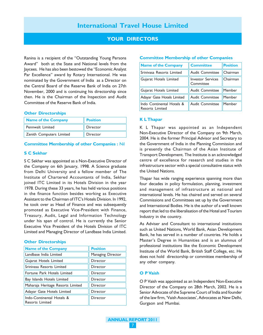## YOUR DIRECTORS

Ranina is a recipient of the "Outstanding Young Persons Award" both at the State and National levels from the Jaycees. He has also been bestowed the "Economic Analyst Par Excellence" award by Rotary International. He was nominated by the Government of India as a Director on the Central Board of the Reserve Bank of India on 27th November, 2000 and is continuing his directorship since then. He is the Chairman of the Inspection and Audit Committee of the Reserve Bank of India.

#### Other Directorships

| <b>Name of the Company</b> | <b>Position</b> |
|----------------------------|-----------------|
| Pennwalt Limited           | Director        |
| Zenith Computers Limited   | Director        |

#### Committee Membership of other Companies : Nil

#### S C Sekhar

S C Sekhar was appointed as a Non-Executive Director of the Company on 6th January, 1998. A Science graduate from Delhi University and a fellow member of The Institute of Chartered Accountants of India, Sekhar joined ITC Limited in its Hotels Division in the year 1978. During these 33 years, he has held various positions in the finance function besides working as Executive Assistant to the Chairman of ITC's Hotels Division. In 1992, he took over as Head of Finance and was subsequently promoted as Executive Vice-President with Finance, Treasury, Audit, Legal and Information Technology under his span of control. He is currently the Senior Executive Vice President of the Hotels Division of ITC Limited and Managing Director of Landbase India Limited.

#### Other Directorships

| <b>Name of the Company</b>                          | <b>Position</b>   |
|-----------------------------------------------------|-------------------|
| Landbase India Limited                              | Managing Director |
| Gujarat Hotels Limited                              | Director          |
| Srinivasa Resorts Limited                           | Director          |
| Fortune Park Hotels Limited                         | Director          |
| Bay Islands Hotels Limited                          | Director          |
| Maharaja Heritage Resorts Limited                   | Director          |
| Adayar Gate Hotels Limited                          | Director          |
| Indo-Continental Hotels &<br><b>Resorts Limited</b> | Director          |

#### Committee Membership of other Companies

| <b>Name of the Company</b>                          | <b>Committee</b>                      | <b>Position</b> |
|-----------------------------------------------------|---------------------------------------|-----------------|
| Srinivasa Resorts Limited                           | <b>Audit Committee</b>                | Chairman        |
| Gujarat Hotels Limited                              | <b>Investor Services</b><br>Committee | Chairman        |
| Gujarat Hotels Limited                              | Audit Committee                       | Member          |
| Adayar Gate Hotels Limited                          | Audit Committee                       | Member          |
| Indo Continental Hotels &<br><b>Resorts Limited</b> | <b>Audit Committee</b>                | Member          |

#### K L Thapar

K L Thapar was appointed as an Independent Non-Executive Director of the Company on 9th March, 2004. He is the former Principal Advisor and Secretary to the Government of India in the Planning Commission and is presently the Chairman of the Asian Institute of Transport Development. The Institute is an acknowledged centre of excellence for research and studies in the infrastructure sector with a special consultative status with the United Nations.

Thapar has wide ranging experience spanning more than four decades in policy formulation, planning, investment and management of infrastructure at national and international levels. He has chaired and served on several Commissions and Committees set up by the Government and International Bodies. He is the author of a well known report that led to the liberalisation of the Hotel and Tourism Industry in the country.

As Adviser and Consultant to international institutions such as United Nations, World Bank, Asian Development Bank, he has served in a number of countries. He holds a Master's Degree in Humanities and is an alumnus of professional institutions like the Economic Development Institute of the World Bank, British Staff College, etc. He does not hold directorship or committee membership of any other company.

#### O P Vaish

O P Vaish was appointed as an Independent Non-Executive Director of the Company on 28th March, 2002. He is a Senior Advocate of the Supreme Court of India and founder of the law firm, 'Vaish Associates', Advocates at New Delhi, Gurgaon and Mumbai.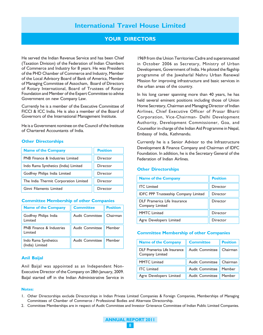#### YOUR DIRECTORS

He served the Indian Revenue Service and has been Chief (Taxation Division) of the Federation of Indian Chambers of Commerce and Industry for 8 years. He was President of the PHD Chamber of Commerce and Industry, Member of the Local Advisory Board of Bank of America, Member of Managing Committee of Assocham, Board of Directors of Rotary International, Board of Trustees of Rotary Foundation and Member of the Expert Committee to advise Government on new Company Law.

Currently he is a member of the Executive Committee of FICCI & ICC India. He is also a member of the Board of Governors of the International Management Institute.

He is a Government nominee on the Council of the Institute of Chartered Accountants of India.

#### Other Directorships

| <b>Name of the Company</b>            | <b>Position</b> |
|---------------------------------------|-----------------|
| PNB Finance & Industries Limited      | Director        |
| Indo Rama Synthetics (India) Limited  | Director        |
| Godfrey Philips India Limited         | Director        |
| The India Thermit Corporation Limited | Director        |
| Ginni Filaments Limited               | Director        |

#### Committee Membership of other Companies

| <b>Name of the Company</b>                 | <b>Committee</b>       | <b>Position</b> |
|--------------------------------------------|------------------------|-----------------|
| Godfrey Philips India<br>Limited           | <b>Audit Committee</b> | Chairman        |
| <b>PNB</b> Finance & Industries<br>Limited | Audit Committee        | Member          |
| Indo Rama Synthetics<br>(India) Limited    | <b>Audit Committee</b> | Member          |

#### Anil Baijal

Anil Baijal was appointed as an Independent Non-Executive Director of the Company on 28th January, 2009. Baijal started off in the Indian Administrative Service in

1969 from the Union Territories Cadre and superannuated in October 2006 as Secretary, Ministry of Urban Development, Government of India. He piloted the flagship programme of the Jawaharlal Nehru Urban Renewal Mission for improving infrastructure and basic services in the urban areas of the country.

In his long career spanning more than 40 years, he has held several eminent positions including those of Union Home Secretary, Chairman and Managing Director of Indian Airlines, Chief Executive Officer of Prasar Bharti Corporation, Vice-Chairman- Delhi Development Authority, Development Commissioner, Goa, and Counsellor in-charge of the Indian Aid Programme in Nepal, Embassy of India, Kathmandu.

Currently he is a Senior Advisor to the Infrastructure Development & Finance Company and Chairman of IDFC Foundation. In addition, he is the Secretary General of the Federation of Indian Airlines.

#### Other Directorships

| <b>Name of the Company</b>                      | <b>Position</b> |
|-------------------------------------------------|-----------------|
| <b>ITC</b> Limited                              | Director        |
| IDFC PPP Trusteeship Company Limited            | Director        |
| DLF Pramerica Life Insurance<br>Company Limited | Director        |
| <b>MMTC Limited</b>                             | Director        |
| Agre Developers Limited                         | Director        |

#### Committee Membership of other Companies

| <b>Name of the Company</b>                      | <b>Committee</b>           | <b>Position</b> |
|-------------------------------------------------|----------------------------|-----------------|
| DLF Pramerica Life Insurance<br>Company Limited | <b>Audit Committee</b>     | Chairman        |
| <b>MMTC</b> Limited                             | Audit Committee   Chairman |                 |
| <b>ITC</b> Limited                              | Audit Committee            | Member          |
| Agre Developers Limited                         | Audit Committee            | Member          |

#### Notes:

1. Other Directorships exclude Directorships in Indian Private Limited Companies & Foreign Companies, Memberships of Managing Committees of Chamber of Commerce / Professional Bodies and Alternate Directorship.

2. Committee Memberships are in respect of Audit Committee and Investor Grievance Committee of Indian Public Limited Companies.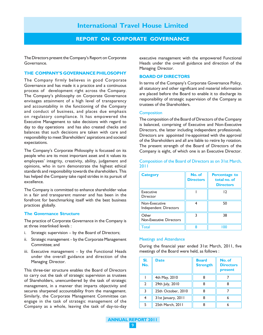#### REPORT ON CORPORATE GOVERNANCE

The Directors present the Company's Report on Corporate Governance.

#### THE COMPANY'S GOVERNANCE PHILOSOPHY

The Company firmly believes in good Corporate Governance and has made it a practice and a continuous process of development right across the Company. The Company's philosophy on Corporate Governance envisages attainment of a high level of transparency and accountability in the functioning of the Company and conduct of business, and places due emphasis on regulatory compliance. It has empowered the Executive Management to take decisions with regard to day to day operations and has also created checks and balances that such decisions are taken with care and responsibility to meet Shareholders' aspirations and societal expectations.

The Company's Corporate Philosophy is focussed on its people who are its most important asset and it values its employees' integrity, creativity, ability, judgement and opinions, who in turn demonstrate the highest ethical standards and responsibility towards the shareholders. This has helped the Company take rapid strides in its pursuit of excellence.

The Company is committed to enhance shareholder value in a fair and transparent manner and has been in the forefront for benchmarking itself with the best business practices globally.

#### The Governance Structure

The practice of Corporate Governance in the Company is at three interlinked levels :

- i. Strategic supervision by the Board of Directors;
- ii. Strategic management by the Corporate Management Committee; and
- iii. Executive management by the Functional Heads under the overall guidance and direction of the Managing Director.

This three-tier structure enables the Board of Directors to carry out the task of strategic supervision as trustees of Shareholders, unencumbered by the task of strategic management, in a manner that imparts objectivity and secures sharpened accountability from the management. Similarly, the Corporate Management Committee can engage in the task of strategic management of the Company as a whole, leaving the task of day-to-day executive management with the empowered Functional Heads under the overall guidance and direction of the Managing Director.

#### BOARD OF DIRECTORS

In terms of the Company's Corporate Governance Policy, all statutory and other significant and material information are placed before the Board to enable it to discharge its responsibility of strategic supervision of the Company as trustees of the Shareholders.

#### **Composition**

The composition of the Board of Directors of the Company is balanced, comprising of Executive and Non-Executive Directors, the latter including independent professionals. Directors are appointed /re-appointed with the approval of the Shareholders and all are liable to retire by rotation. The present strength of the Board of Directors of the Company is eight, of which one is an Executive Director.

Composition of the Board of Directors as on 31st March, 2011

| <b>Category</b>                         | No. of<br><b>Directors</b> | <b>Percentage to</b><br>total no. of<br><b>Directors</b> |
|-----------------------------------------|----------------------------|----------------------------------------------------------|
| Executive<br>Director                   |                            | 12                                                       |
| Non-Executive<br>Independent Directors  |                            | 50                                                       |
| Other<br><b>Non-Executive Directors</b> |                            | 38                                                       |
| Total                                   | Զ                          | 0٥                                                       |

#### Meetings and Attendance

During the financial year ended 31st March, 2011, five meetings of the Board were held, as follows :

| SI.<br>No.     | <b>Date</b>        | <b>Board</b><br><b>Strength</b> | No. of<br><b>Directors</b><br>present |
|----------------|--------------------|---------------------------------|---------------------------------------|
|                | 4th May, 2010      | 8                               |                                       |
| $\overline{2}$ | 29th July, 2010    | 8                               | 8                                     |
| 3              | 25th October, 2010 | 8                               |                                       |
|                | 31st January, 2011 | 8                               |                                       |
| 5              | 25th March, 2011   |                                 |                                       |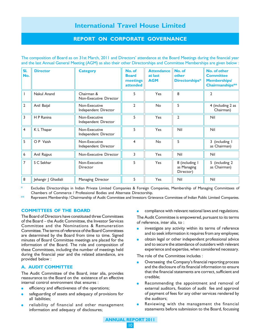## REPORT ON CORPORATE GOVERNANCE

The composition of Board as on 31st March, 2011 and Directors' attendance at the Board Meetings during the financial year and the last Annual General Meeting (AGM) as also their other Directorships and Committee Memberships are given below :

| SI.<br>No.     | <b>Director</b>     | <b>Category</b>                       | No. of<br><b>Board</b><br>meetings<br>attended | <b>Attendance</b><br>at last<br><b>AGM</b> | No. of<br>other<br>Directorships*          | No. of other<br><b>Committee</b><br><b>Memberships/</b><br>Chairmanships** |
|----------------|---------------------|---------------------------------------|------------------------------------------------|--------------------------------------------|--------------------------------------------|----------------------------------------------------------------------------|
|                | Nakul Anand         | Chairman &<br>Non-Executive Director  | 5                                              | <b>Yes</b>                                 | 8                                          | 2                                                                          |
| $\overline{2}$ | Anil Baijal         | Non-Executive<br>Independent Director | $\mathfrak{D}$                                 | <b>No</b>                                  | 5                                          | 4 (including 2 as<br>Chairman)                                             |
| 3              | H P Ranina          | Non-Executive<br>Independent Director | 5                                              | Yes                                        | $\overline{2}$                             | Nil                                                                        |
| $\overline{4}$ | K L Thapar          | Non-Executive<br>Independent Director | 5                                              | Yes                                        | Nil                                        | Nil                                                                        |
| 5              | O P Vaish           | Non-Executive<br>Independent Director | 4                                              | <b>No</b>                                  | 5                                          | 3 (including I<br>as Chairman)                                             |
| 6              | Anil Rajput         | Non-Executive Director                | 3                                              | Yes                                        | Nil                                        | Nil                                                                        |
| $\overline{7}$ | S C Sekhar          | Non-Executive<br>Director             | 5                                              | Yes                                        | 8 (including I<br>as Managing<br>Director) | 5 (including 2<br>as Chairman)                                             |
| 8              | Jehangir J Ghadiali | Managing Director                     | 5                                              | Yes                                        | Nil                                        | Nil                                                                        |

Excludes Directorships in Indian Private Limited Companies & Foreign Companies, Membership of Managing Committees of Chambers of Commerce / Professional Bodies and Alternate Directorship.

Represent Membership / Chairmanship of Audit Committee and Investors Grievance Committee of Indian Public Limited Companies.

#### COMMITTEES OF THE BOARD

The Board of Directors have constituted three Committees of the Board – the Audit Committee, the Investor Services Committee and the Nominations & Remuneration Committee. The terms of reference of the Board Committees are determined by the Board from time to time. Signed minutes of Board Committee meetings are placed for the information of the Board. The role and composition of these Committees, including the number of meetings held during the financial year and the related attendance, are provided below :

#### A. AUDIT COMMITTEE

The Audit Committee of the Board, inter alia, provides reassurance to the Board on the existence of an effective internal control environment that ensures :

- efficiency and effectiveness of the operations;
- safeguarding of assets and adequacy of provisions for all liabilities;
- reliability of financial and other management information and adequacy of disclosures;

compliance with relevant national laws and regulations.

The Audit Committee is empowered, pursuant to its terms of reference, inter alia, to :

- investigate any activity within its terms of reference and to seek information it requires from any employee;
- obtain legal or other independent professional advice and to secure the attendance of outsiders with relevant experience and expertise, when considered necessary.

The role of the Committee includes :

- Overseeing the Company's financial reporting process and the disclosure of its financial information to ensure that the financial statements are correct, sufficient and credible;
- Recommending the appointment and removal of external auditors, fixation of audit fee and approval of payment of fees for any other services rendered by the auditors;
- Reviewing with the management the financial statements before submission to the Board, focussing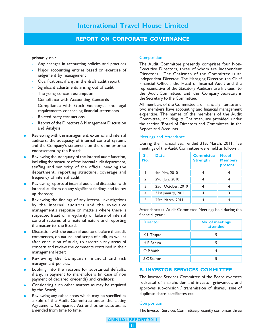## REPORT ON CORPORATE GOVERNANCE

primarily on :

- Any changes in accounting policies and practices
- Major accounting entries based on exercise of judgement by management
- Qualifications, if any, in the draft audit report
- Significant adjustments arising out of audit
- The going concern assumption
- Compliance with Accounting Standards
- Compliance with Stock Exchanges and legal requirements concerning financial statements
- Related party transactions
- Report of the Directors & Management Discussion and Analysis;
- Reviewing with the management, external and internal auditors, the adequacy of internal control systems and the Company's statement on the same prior to endorsement by the Board;
- Reviewing the adequacy of the internal audit function, including the structure of the internal audit department, staffing and seniority of the official heading the department, reporting structure, coverage and frequency of internal audit;
- Reviewing reports of internal audit and discussion with internal auditors on any significant findings and follow up thereon;
- Reviewing the findings of any internal investigations by the internal auditors and the executive management's response on matters where there is suspected fraud or irregularity or failure of internal control systems of a material nature and reporting the matter to the Board;
- Discussion with the external auditors, before the audit commences, on nature and scope of audit, as well as after conclusion of audit, to ascertain any areas of concern and review the comments contained in their management letter;
- Reviewing the Company's financial and risk management policies;
- Looking into the reasons for substantial defaults, if any, in payment to shareholders (in case of non payment of declared dividends) and creditors;
- Considering such other matters as may be required by the Board;
- Reviewing any other areas which may be specified as a role of the Audit Committee under the Listing Agreement, Companies Act and other statutes, as amended from time to time.

#### **Composition**

The Audit Committee presently comprises four Non-Executive Directors, three of whom are Independent Directors. The Chairman of the Committee is an Independent Director. The Managing Director, the Chief Financial Officer, the Head of Internal Audit and the representative of the Statutory Auditors are Invitees to the Audit Committee, and the Company Secretary is the Secretary to the Committee.

All members of the Committee are financially literate and two members have accounting and financial management expertise. The names of the members of the Audit Committee, including its Chairman, are provided, under the section 'Board of Directors and Committees' in the Report and Accounts.

#### Meetings and Attendance

During the financial year ended 31st March, 2011, five meetings of the Audit Committee were held as follows :

| SI.<br>No.    | <b>Date</b>        | <b>Committee</b><br><b>Strength</b> | No. of<br><b>Members</b><br>present |  |
|---------------|--------------------|-------------------------------------|-------------------------------------|--|
|               | 4th May, 2010      |                                     |                                     |  |
| $\mathcal{L}$ | 29th July, 2010    |                                     |                                     |  |
| 3             | 25th October, 2010 |                                     |                                     |  |
| 4             | 31st January, 2011 |                                     |                                     |  |
| 5             | 25th March, 2011   |                                     |                                     |  |

Attendance at Audit Committee Meetings held during the financial year :

| <b>Director</b> | <b>No. of meetings</b><br>attended |
|-----------------|------------------------------------|
| K L Thapar      |                                    |
| H P Ranina      |                                    |
| O P Vaish       |                                    |
| S C Sekhar      |                                    |

#### B. INVESTOR SERVICES COMMITTEE

The Investor Services Committee of the Board oversees redressal of shareholder and investor grievances, and approves sub-division / transmission of shares, issue of duplicate share certificates etc.

#### **Composition**

The Investor Services Committee presently comprises three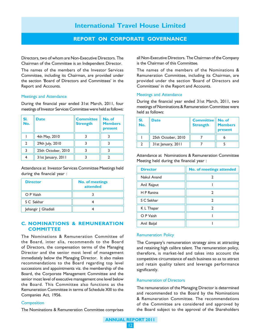#### REPORT ON CORPORATE GOVERNANCE

Directors, two of whom are Non-Executive Directors. The Chairman of the Committee is an Independent Director.

The names of the members of the Investor Services Committee, including its Chairman, are provided under the section 'Board of Directors and Committees' in the Report and Accounts.

#### Meetings and Attendance

During the financial year ended 31st March, 2011, four meetings of Investor Services Committee were held as follows:

| SI.<br>No. | <b>Date</b>        | <b>Committee</b><br><b>Strength</b> | No. of<br><b>Members</b><br>present |
|------------|--------------------|-------------------------------------|-------------------------------------|
|            | 4th May, 2010      |                                     |                                     |
|            | 29th July, 2010    |                                     |                                     |
|            | 25th October, 2010 |                                     |                                     |
|            | 31st January, 2011 |                                     |                                     |

Attendance at Investor Services Committee Meetings held during the financial year :

| <b>Director</b>     | <b>No. of meetings</b><br>attended |
|---------------------|------------------------------------|
| O P Vaish           |                                    |
| S C Sekhar          |                                    |
| Jehangir J Ghadiali |                                    |

#### C. NOMINATIONS & REMUNERATION **COMMITTEE**

The Nominations & Remuneration Committee of the Board, inter alia, recommends to the Board of Directors, the compensation terms of the Managing Director and the senior most level of management immediately below the Managing Director. It also makes recommendations to the Board regarding top level successions and appointments viz. the membership of the Board, the Corporate Management Committee and the senior most level of executive management one level below the Board. This Committee also functions as the Remuneration Committee in terms of Schedule XIII to the Companies Act, 1956.

#### **Composition**

The Nominations & Remuneration Committee comprises

all Non-Executive Directors. The Chairman of the Company is the Chairman of this Committee.

The names of the members of the Nominations & Remuneration Committee, including its Chairman, are provided under the section 'Board of Directors and Committees' in the Report and Accounts.

#### Meetings and Attendance

During the financial year ended 31st March, 2011, two meetings of Nominations & Remuneration Committee were held as follows:

| SI.<br>$\overline{\mathsf{No}}$ . | <b>Date</b>        | <b>Committee</b><br><b>Strength</b> | No. of<br><b>Members</b><br>present |
|-----------------------------------|--------------------|-------------------------------------|-------------------------------------|
|                                   | 25th October, 2010 |                                     |                                     |
|                                   | 31st January, 2011 |                                     |                                     |

Attendance at Nominations & Remuneration Committee Meeting held during the financial year :

| <b>Director</b> | <b>No. of meetings attended</b> |
|-----------------|---------------------------------|
| Nakul Anand     |                                 |
| Anil Rajput     |                                 |
| H P Ranina      |                                 |
| S C Sekhar      |                                 |
| K L Thapar      |                                 |
| O P Vaish       |                                 |
| Anil Baijal     |                                 |

#### Remuneration Policy

The Company's remuneration strategy aims at attracting and retaining high calibre talent. The remuneration policy, therefore, is market-led and takes into account the competitive circumstance of each business so as to attract and retain quality talent and leverage performance significantly.

#### Remuneration of Directors

The remuneration of the Managing Director is determined and recommended to the Board by the Nominations & Remuneration Committee. The recommendations of the Committee are considered and approved by the Board subject to the approval of the Shareholders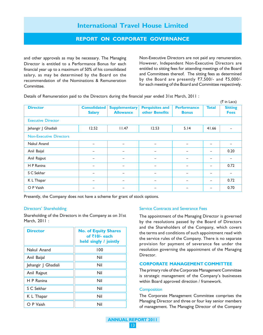#### REPORT ON CORPORATE GOVERNANCE

and other approvals as may be necessary. The Managing Director is entitled to a Performance Bonus for each financial year up to a maximum of 50% of his consolidated salary, as may be determined by the Board on the recommendation of the Nominations & Remuneration Committee.

Non-Executive Directors are not paid any remuneration. However, Independent Non-Executive Directors are entitled to sitting fees for attending meetings of the Board and Committees thereof. The sitting fees as determined by the Board are presently  $\overline{57},500/-$  and  $\overline{55},000/$ for each meeting of the Board and Committee respectively.

Details of Remuneration paid to the Directors during the financial year ended 31st March, 2011 :

|                                |                                      |                                          |                                          |                                    |                          | $(3\overline{5})$ in Lacs)    |
|--------------------------------|--------------------------------------|------------------------------------------|------------------------------------------|------------------------------------|--------------------------|-------------------------------|
| <b>Director</b>                | <b>Consolidated</b><br><b>Salary</b> | <b>Supplementary</b><br><b>Allowance</b> | <b>Perquisites and</b><br>other Benefits | <b>Performance</b><br><b>Bonus</b> | <b>Total</b>             | <b>Sitting</b><br><b>Fees</b> |
| <b>Executive Director</b>      |                                      |                                          |                                          |                                    |                          |                               |
| Jehangir J Ghadiali            | 12.52                                | 11.47                                    | 12.53                                    | 5.14                               | 41.66                    |                               |
| <b>Non-Executive Directors</b> |                                      |                                          |                                          |                                    |                          |                               |
| Nakul Anand                    |                                      | -                                        | $\overline{\phantom{0}}$                 |                                    |                          |                               |
| Anil Baijal                    |                                      |                                          |                                          |                                    |                          | 0.20                          |
| Anil Rajput                    |                                      |                                          |                                          | -                                  | -                        |                               |
| H P Ranina                     | -                                    | $\overline{\phantom{0}}$                 | $\overline{\phantom{0}}$                 | -                                  | $\qquad \qquad -$        | 0.72                          |
| S C Sekhar                     | -                                    | $\overline{\phantom{0}}$                 | $\overline{\phantom{0}}$                 | -                                  | $\overline{\phantom{m}}$ | -                             |
| K L Thapar                     |                                      | $\qquad \qquad$                          | $\qquad \qquad \blacksquare$             | -                                  | $\qquad \qquad -$        | 0.72                          |
| O P Vaish                      |                                      |                                          |                                          |                                    |                          | 0.70                          |

Presently, the Company does not have a scheme for grant of stock options.

#### Directors' Shareholding

Shareholding of the Directors in the Company as on 31st March, 2011 :

| <b>Director</b>     | <b>No. of Equity Shares</b><br>of $\bar{z}$ 10/- each<br>held singly / jointly |
|---------------------|--------------------------------------------------------------------------------|
| Nakul Anand         | 100                                                                            |
| Anil Baijal         | Nil                                                                            |
| Jehangir   Ghadiali | Nil                                                                            |
| Anil Rajput         | Nil                                                                            |
| H P Ranina          | Nil                                                                            |
| S C Sekhar          | Nil                                                                            |
| K L Thapar          | Nil                                                                            |
| O P Vaish           | Nil                                                                            |

#### Service Contracts and Severance Fees

The appointment of the Managing Director is governed by the resolutions passed by the Board of Directors and the Shareholders of the Company, which covers the terms and conditions of such appointment read with the service rules of the Company. There is no separate provision for payment of severance fee under the resolution governing the appointment of the Managing Director.

#### CORPORATE MANAGEMENT COMMITTEE

The primary role of the Corporate Management Committee is strategic management of the Company's businesses within Board approved direction / framework.

#### **Composition**

The Corporate Management Committee comprises the Managing Director and three or four key senior members of management. The Managing Director of the Company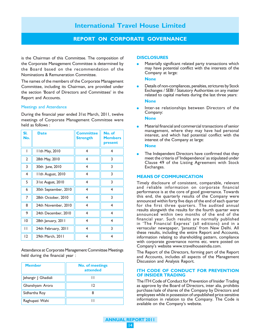#### REPORT ON CORPORATE GOVERNANCE

is the Chairman of this Committee. The composition of the Corporate Management Committee is determined by the Board based on the recommendation of the Nominations & Remuneration Committee.

The names of the members of the Corporate Management Committee, including its Chairman, are provided under the section 'Board of Directors and Committees' in the Report and Accounts.

#### Meetings and Attendance

During the financial year ended 31st March, 2011, twelve meetings of Corporate Management Committee were held as follows :

| SI.<br>No.     | <b>Date</b>          | <b>Committee</b><br><b>Strength</b> | No. of<br><b>Members</b><br>present |
|----------------|----------------------|-------------------------------------|-------------------------------------|
| I              | 11th May, 2010       | 4                                   | $\overline{4}$                      |
| $\overline{2}$ | 28th May, 2010       | 4                                   | 3                                   |
| 3              | 30th June, 2010      | 4                                   | 3                                   |
| 4              | I Ith August, 2010   | 4                                   | 3                                   |
| 5              | 31st August, 2010    | 4                                   | 3                                   |
| 6              | 30th September, 2010 | 4                                   | $\overline{\mathbf{4}}$             |
| 7              | 28th October, 2010   | 4                                   | 3                                   |
| 8              | 24th November, 2010  | 4                                   | 4                                   |
| 9              | 24th December, 2010  | 4                                   | $\overline{4}$                      |
| 10             | 28th January, 2011   | 4                                   | 4                                   |
| П              | 24th February, 2011  | 4                                   | 3                                   |
| 2              | 29th March, 2011     | 4                                   | $\overline{4}$                      |

Attendance at Corporate Management Committee Meetings held during the financial year :

| <b>Member</b>       | <b>No. of meetings</b><br>attended |
|---------------------|------------------------------------|
| Jehangir J Ghadiali |                                    |
| Ghanshyam Arora     | 12                                 |
| Sidhartha Roy       |                                    |
| Raghupati Wahi      |                                    |

#### **DISCLOSURES**

Materially significant related party transactions which may have potential conflict with the interests of the Company at large:

#### None

Details of non-compliances, penalties, strictures by Stock Exchanges / SEBI / Statutory Authorities on any matter related to capital markets during the last three years:

#### **None**

Inter-se relationships between Directors of the Company:

#### None

Material financial and commercial transactions of senior management, where they may have had personal interest, and which had potential conflict with the interest of the Company at large:

#### None

The Independent Directors have confirmed that they meet the criteria of 'Independence' as stipulated under Clause 49 of the Listing Agreement with Stock Exchanges.

#### MEANS OF COMMUNICATION

Timely disclosure of consistent, comparable, relevant and reliable information on corporate financial performance is at the core of good governance. Towards this end, the quarterly results of the Company were announced within forty five days of the end of each quarter for the first three quarters. The audited annual results alongwith the results for the fourth quarter were announced within two months of the end of the financial year. Such results are normally published in 'The Financial Express' (all editions) and in a vernacular newspaper, 'Jansatta' from New Delhi. All these results, including the entire Report and Accounts, information relating to shareholding pattern, compliance with corporate governance norms etc. were posted on Company's website www.travelhouseindia.com.

The Report of the Directors, forming part of the Report and Accounts, includes all aspects of the Management Discussion and Analysis Report.

#### ITH CODE OF CONDUCT FOR PREVENTION OF INSIDER TRADING

The ITH Code of Conduct for Prevention of Insider Trading as approve by the Board of Directors, inter alia, prohibits purchase/sale of shares of the Company by Directors and employees while in possession of unpublished price sensitive information in relation to the Company. The Code is available on the Company's website.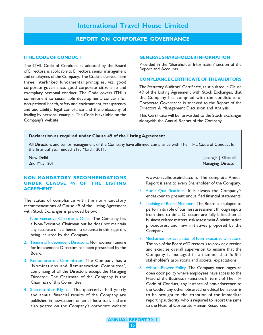#### REPORT ON CORPORATE GOVERNANCE

#### ITHL CODE OF CONDUCT

The ITHL Code of Conduct, as adopted by the Board of Directors, is applicable to Directors, senior management and employees of the Company. The Code is derived from three interlinked fundamental principles, viz. good corporate governance, good corporate citizenship and exemplary personal conduct. The Code covers ITHL's commitment to sustainable development, concern for occupational health, safety and environment, transparency and auditability, legal compliance and the philosophy of leading by personal example. The Code is available on the Company's website.

#### GENERAL SHAREHOLDER INFORMATION

Provided in the 'Shareholder Information' section of the Report and Accounts.

#### COMPLIANCE CERTIFICATE OF THE AUDITORS

The Statutory Auditors' Certificate, as stipulated in Clause 49 of the Listing Agreement with Stock Exchanges, that the Company has complied with the conditions of Corporate Governance is annexed to the Report of the Directors & Management Discussion and Analysis.

This Certificate will be forwarded to the Stock Exchanges alongwith the Annual Report of the Company.

#### Declaration as required under Clause 49 of the Listing Agreement

All Directors and senior management of the Company have affirmed compliance with The ITHL Code of Conduct for the financial year ended 31st March, 2011.

New Delhi Jehangir J Ghadiali Jehangir J Ghadiali Jehangir J Ghadiali Jehangir J Ghadiali Jehangir J Ghadiali 2nd May, 2011 **Managing Director** Control of the Control of the Control of the Control of the Control of the Control of the Control of the Control of the Control of the Control of the Control of the Control of the Control

#### NON-MANDATORY RECOMMENDATIONS UNDER CLAUSE 49 OF THE LISTING AGREEMENT

The status of compliance with the non-mandatory recommendations of Clause 49 of the Listing Agreement with Stock Exchanges is provided below:

- 1. Non-Executive Chairman's Office: The Company has a Non-Executive Chairman but he does not maintain any separate office, hence no expense in this regard is being incurred by the Company.
- 2. Tenure of Independent Directors: No maximum tenure for Independent Directors has been prescribed by the Board.
- 3. Remuneration Committee: The Company has a 'Nominations and Remuneration Committee', comprising of all the Directors except the Managing Director. The Chairman of the Company is the Chairman of this Committee.
- 4. Shareholder Rights: The quarterly, half-yearly and annual financial results of the Company are published in newspapers on an all India basis and are also posted on the Company's corporate website

www.travelhouseindia.com. The complete Annual

5. Audit Qualifications: It is always the Company's endeavour to present unqualified financial statements.

Report is sent to every Shareholder of the Company.

- 6. Training of Board Members: The Board is equipped to perform its role of business assessment through inputs from time to time. Directors are fully briefed on all business related matters, risk assessment & minimisation procedures, and new initiatives proposed by the Company.
- 7. Mechanism for evaluation of Non-Executive Directors: The role of the Board of Directors is to provide direction and exercise overall supervision to ensure that the Company is managed in a manner that fulfills stakeholder's aspirations and societal expectations.
- 8. Whistle-Blower Policy: The Company encourages an open door policy where employees have access to the Head of the Business / Function. In terms of The ITH Code of Conduct, any instance of non-adherence to the Code / any other observed unethical behaviour is to be brought to the attention of the immediate reporting authority, who is required to report the same to the Head of Corporate Human Resources.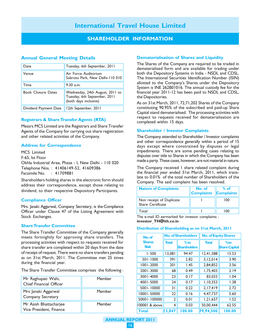## SHAREHOLDER INFORMATION

#### Annual General Meeting Details

| Date                      | Tuesday, 6th September, 2011                                                             |
|---------------------------|------------------------------------------------------------------------------------------|
| Venue                     | Air Force Auditorium<br>Subroto Park, New Delhi-110 010                                  |
| Time                      | $9.30$ a.m.                                                                              |
| <b>Book Closure Dates</b> | Wednesday, 24th August, 2011 to<br>Tuesday, 6th September, 2011<br>(both days inclusive) |
| Dividend Payment Date     | 12th September, 2011                                                                     |

#### Registrars & Share Transfer Agents (RTA)

Messrs MCS Limited are the Registrars and Share Transfer Agents of the Company for carrying out share registration and other related activities of the Company.

#### Address for Correspondence

MCS Limited F-65, Ist Floor Okhla Industrial Area, Phase - I, New Delhi - 110 020 Telephone Nos. : 41406149-52, 41609386 Facsimile No. : 41709881

Shareholders holding shares in the electronic form should address their correspondence, except those relating to dividend, to their respective Depository Participants.

#### Compliance Officer

Mrs. Janaki Aggarwal, Company Secretary, is the Compliance Officer under Clause 47 of the Listing Agreement with Stock Exchanges.

#### Share Transfer Committee

The Share Transfer Committee of the Company generally meets fortnightly for approving share transfers. The processing activities with respect to requests received for share transfer are completed within 20 days from the date of receipt of request. There were no share transfers pending as on 31st March, 2011. The Committee met 25 times during the financial year.

The Share Transfer Committee comprises the following :

| Mr Raghupati Wahi,<br>Chief Financial Officer     | Member |
|---------------------------------------------------|--------|
| Mrs Janaki Aggarwal<br>Company Secretary          | Member |
| Mr Asish Bhattacharjee<br>Vice President, Finance | Member |

#### Dematerialisation of Shares and Liquidity

The Shares of the Company are required to be traded in dematerialised form and are available for trading under both the Depository Systems in India - NSDL and CDSL. The International Securities Identification Number (ISIN) allotted to the Company's Shares under the Depository System is INE 262B01016. The annual custody fee for the financial year 2011-12 has been paid to NSDL and CDSL, the Depositories.

As on 31st March, 2011, 72,71,202 Shares of the Company constituting 90.95% of the subscribed and paid-up Share Capital stand dematerialised. The processing activities with respect to requests received for dematerialisation are completed within 15 days.

#### Shareholder / Investor Complaints

The Company attended to Shareholder / Investor complaints and other correspondence generally within a period of 15 days except where constrained by disputes or legal impediments. There are some pending cases relating to disputes over title to Shares in which the Company has been made a party. These cases, however, are not material in nature.

The Company received 1 share related complaint during the financial year ended 31st March, 2011, which translate to 0.01% of the total number of Shareholders of the Company. The said complaint has been resolved.

| <b>Nature of Complaints</b>                   | No. of<br><b>Complaints Complaints</b> | $%$ of |
|-----------------------------------------------|----------------------------------------|--------|
| Non receipt of Duplicate<br>Share Certificate |                                        | 100    |
| ำาtal                                         |                                        |        |

The e-mail ID earmarked for investor complaints : investor\_TH@ith.co.in

#### Distribution of Shareholding as on 31st March, 2011

| No.of          |                | <b>No. of Shareholders</b> | <b>No. of Equity Shares</b> |                      |
|----------------|----------------|----------------------------|-----------------------------|----------------------|
| <b>Shares</b>  | <b>Total</b>   | $%$ to                     | <b>Total</b>                | $%$ to               |
| <b>Slab</b>    |                | <b>Shareholders</b>        |                             | <b>Share Capital</b> |
| $1 - 500$      | 13,081         | 94.47                      | 12,41,588                   | 15.53                |
| 501-1000       | 391            | 2.82                       | 3,12,014                    | 3.90                 |
| 1001-2000      | 201            | 1.45                       | 2,84,852                    | 3.56                 |
| 2001-3000      | 68             | 0.49                       | 1,75,403                    | 2.19                 |
| 3001-4000      | 23             | 0.17                       | 83.033                      | 1.04                 |
| 4001-5000      | 24             | 0.17                       | 1, 10, 353                  | 1.38                 |
| 5001-10000     | 31             | 0.22                       | 2,17,419                    | 2.72                 |
| 10001-50000    | 22             | 0.16                       | 4.47.737                    | 5.60                 |
| 50001-100000   | $\overline{2}$ | 0.01                       | 1,21,657                    | 1.52                 |
| 100001 & above | 4              | 0.03                       | 50,00,444                   | 62.55                |
| <b>Total</b>   | 3,847          | 100.00                     | 79,94,500                   | 100.00               |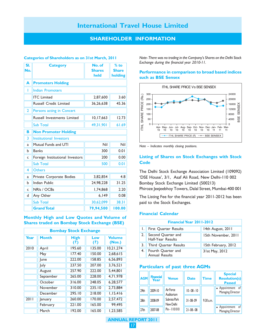#### SHAREHOLDER INFORMATION

#### Categories of Shareholders as on 31st March, 2011

| SI.<br>No.     | <b>Category</b>                 | No. of<br><b>Shares</b><br>held | $%$ to<br><b>Share</b><br>holding |  |  |
|----------------|---------------------------------|---------------------------------|-----------------------------------|--|--|
| A              | <b>Promoters Holding</b>        |                                 |                                   |  |  |
| ı              | <b>Indian Promoters</b>         |                                 |                                   |  |  |
|                | <b>ITC</b> Limited              | 2,87,600                        | 3.60                              |  |  |
|                | <b>Russell Credit Limited</b>   | 36,26,638                       | 45.36                             |  |  |
| $\overline{2}$ | Persons acting in Concert       |                                 |                                   |  |  |
|                | Russell Investments Limited     | 10, 17, 663                     | 12.73                             |  |  |
|                | <b>Sub Total</b>                | 49,31,901                       | 61.69                             |  |  |
| B              | <b>Non Promoter Holding</b>     |                                 |                                   |  |  |
| 3              | Institutional Investors         |                                 |                                   |  |  |
| a              | Mutual Funds and UTI            | Nil                             | Nil                               |  |  |
| h              | <b>Banks</b>                    | 300                             | 0.01                              |  |  |
| c              | Foreign Institutional Investors | 200                             | 0.00                              |  |  |
|                | <b>Sub Total</b>                | 500                             | 0.01                              |  |  |
| 4              | <b>Others</b>                   |                                 |                                   |  |  |
| a              | Private Corporate Bodies        | 3,82,854                        | 4.8                               |  |  |
| h              | <b>Indian Public</b>            | 24,98,228                       | 31.25                             |  |  |
| $\mathsf{C}$   | NRIs / OCBs                     | 1,74,868                        | 2.20                              |  |  |
| d              | Any Other                       | 6,149                           | 0.08                              |  |  |
|                | <b>Sub Total</b>                | 30,62,099                       | 38.31                             |  |  |
|                | <b>Grand Total</b>              | 79,94,500                       | 100.00                            |  |  |

#### Monthly High and Low Quotes and Volume of Shares traded on Bombay Stock Exchange (BSE)

| <b>Bombay Stock Exchange</b> |              |                    |            |                         |  |
|------------------------------|--------------|--------------------|------------|-------------------------|--|
| Year                         | <b>Month</b> | <b>High</b><br>(3) | Low<br>(3) | <b>Volume</b><br>(Nos.) |  |
| 2010                         | April        | 195.60             | 135.00     | 10.21.274               |  |
|                              | May          | 177.40             | 150.00     | 2.68.615                |  |
|                              | lune         | 222.00             | 158.85     | 6.56.893                |  |
|                              | July         | 237.50             | 207.00     | 3.76.521                |  |
|                              | August       | 257.90             | 222.00     | 5,44,801                |  |
|                              | September    | 265.00             | 228.00     | 4.71.978                |  |
|                              | October      | 316.00             | 248.05     | 6.28.577                |  |
|                              | November     | 310.00             | 235.10     | 2,73,884                |  |
|                              | December     | 295.10             | 218.00     | 1.15.416                |  |
| 2011                         | anuary       | 260.00             | 170.00     | 2,57,472                |  |
|                              | February     | 221.00             | 165.00     | 99,495                  |  |
|                              | March        | 192.00             | 165.00     | 1.23.585                |  |

Note- There was no trading in the Company's Shares on the Delhi Stock Exchange during the financial year 2010-11.

#### Performance in comparison to broad based indices such as BSE Sensex



Note – Indicates monthly closing positions.

#### Listing of Shares on Stock Exchanges with Stock **Code**

The Delhi Stock Exchange Association Limited (109092) 'DSE House', 3/1, Asaf Ali Road, New Delhi-110 002 Bombay Stock Exchange Limited (500213) Phiroze Jeejeebhoy Towers, Dalal Street, Mumbai-400 001

The Listing Fee for the financial year 2011-2012 has been paid to the Stock Exchanges.

#### Financial Calendar

| Financial Year 2011-2012                   |                     |  |  |  |  |
|--------------------------------------------|---------------------|--|--|--|--|
| First Quarter Results                      | 14th August, 2011   |  |  |  |  |
| 2. Second Quarter and<br>Half-Year Results | 15th November, 2011 |  |  |  |  |
| Third Quarter Results                      | 15th February, 2012 |  |  |  |  |
| Fourth Quarter and<br>Annual Results       | 31st May, 2012      |  |  |  |  |

#### Particulars of past three AGMs

| <b>AGM</b>       | <b>Financial</b><br>Year | <b>Venue</b>              | <b>Date</b>    | <b>Time</b> | <b>Special</b><br><b>Resolution(s)</b><br><b>Passed</b> |
|------------------|--------------------------|---------------------------|----------------|-------------|---------------------------------------------------------|
| 29 <sub>th</sub> | 2009-10                  | Air Force<br>Auditorium   | $10 - 08 - 10$ |             | • Appointment<br>- of<br>Managing Director              |
| 28 <sub>th</sub> | 2008-09                  | Subroto Park<br>New Delhi | $31 - 08 - 09$ | 9.30 a.m.   |                                                         |
| 27 <sub>th</sub> | 2007-08                  | Pin - 110010              | $21 - 08 - 08$ |             | • Appointment<br>of<br>Managing Director                |

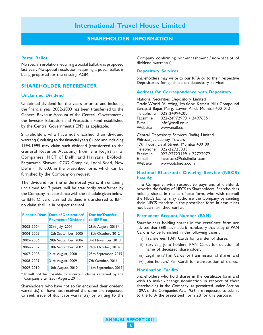#### SHAREHOLDER INFORMATION

#### Postal Ballot

No special resolution requiring a postal ballot was proposed last year. No special resolution requiring a postal ballot is being proposed for the ensuing AGM.

#### SHAREHOLDER REFERENCER

#### Unclaimed Dividend

Unclaimed dividend for the years prior to and including the financial year 2002-2003 has been transferred to the General Revenue Account of the Central Government / the Investor Education and Protection Fund established by the Central Government (IEPF), as applicable.

Shareholders who have not encashed their dividend warrant(s) relating to the financial year(s) upto and including 1994-1995 may claim such dividend (transferred to the General Revenue Account) from the Registrar of Companies, NCT of Delhi and Haryana, B-Block, Paryavaran Bhawan, CGO Complex, Lodhi Road, New Delhi - 110 003, in the prescribed form, which can be furnished by the Company on request.

The dividend for the undernoted years, if remaining unclaimed for 7 years, will be statutorily transferred by the Company in accordance with the schedule given below, to IEPF. Once unclaimed dividend is transferred to IEPF, no claim shall lie in respect thereof.

| <b>Financial Year</b> | <b>Date of Declaration/</b><br><b>Payment of Dividend</b> | <b>Due for Transfer</b><br>to <b>IEPF</b> on |
|-----------------------|-----------------------------------------------------------|----------------------------------------------|
| 2003-2004             | 23rd July, 2004                                           | 28th August, 2011*                           |
| 2004-2005             | 12th September, 2005                                      | 18th October, 2012                           |
| 2005-2006             | 28th September, 2006                                      | 3rd November, 2013                           |
| 2006-2007             | 18th September, 2007                                      | 24th October, 2014                           |
| 2007-2008             | 21st August, 2008                                         | 25th September, 2015                         |
| 2008-2009             | 31st August, 2009                                         | 7th October, 2016                            |
| 2009-2010             | 10th August, 2010                                         | 16th September, 2017                         |

\* It will not be possible to entertain claims received by the Company after 25th August, 2011.

Shareholders who have not so far encashed their dividend warrant(s) or have not received the same are requested to seek issue of duplicate warrant(s) by writing to the Company confirming non-encashment / non-receipt of dividend warrant(s).

#### Depository Services

Shareholders may write to our RTA or to their respective Depositories for guidance on depository services.

#### Address for Correspondence with Depository

National Securities Depository Limited Trade World, 'A' Wing, 4th floor, Kamala Mills Compound Senapati Bapat Marg, Lower Parel, Mumbai 400 013 Telephone : 022-24994200 Facsimile : 022-24972993 / 24976351<br>E-mail : info@nsdl.co.in : info@nsdl.co.in Website : www.nsdl.co.in

Central Depository Services (India) Limited Phiroze Jeejeebhoy Towers 17th floor, Dalal Street, Mumbai 400 001 Telephone : 022-22723333 Facsimile : 022-22723199 / 22722072 E-mail : investors@cdslindia .com Website : www.cdslindia.com

#### National Electronic Clearing Service (NECS) **Facility**

The Company, with respect to payment of dividend, provides the facility of NECS to Shareholders. Shareholders holding shares in the certificate form, who wish to avail the NECS facility, may authorise the Company by sending their NECS mandate in the prescribed form in case it has not been furnished earlier.

#### Permanent Account Number (PAN)

Shareholders holding shares in the certificate form are advised that SEBI has made it mandatory that copy of PAN Card is to be furnished in the following cases :

- i) Transferees' PAN Cards for transfer of shares,
- ii) Surviving joint holders' PAN Cards for deletion of name of deceased shareholder,
- iii) Legal heirs' Pan Cards for transmission of shares, and
- iv) Joint holders' Pan Cards for transposition of shares.

#### Nomination Facility

Shareholders who hold shares in the certificate form and wish to make / change nomination in respect of their shareholding in the Company, as permitted under Section 109A of the Companies Act, 1956, are requested to submit to the RTA the prescribed Form 2B for this purpose.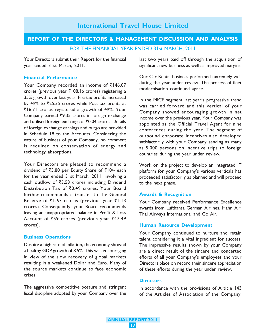# REPORT OF THE DIRECTORS & MANAGEMENT DISCUSSION AND ANALYSIS

FOR THE FINANCIAL YEAR ENDED 31st MARCH, 2011

Your Directors submit their Report for the financial year ended 31st March, 2011.

#### Financial Performance

Your Company recorded an income of  $\bar{\tau}146.07$ crores (previous year  $\overline{3}108.16$  crores) registering a 35% growth over last year. Pre-tax profits increased by 49% to  $\bar{\zeta}$ 25.35 crores while Post-tax profits at ₹16.71 crores registered a growth of 49%. Your Company earned  $\overline{3}9.35$  crores in foreign exchange and utilised foreign exchange of  $\bar{z}0.04$  crores. Details of foreign exchange earnings and outgo are provided in Schedule 18 to the Accounts. Considering the nature of business of your Company, no comment is required on conservation of energy and technology absorptions.

Your Directors are pleased to recommend a dividend of  $\overline{3}3.80$  per Equity Share of  $\overline{5}10/$ - each for the year ended 31st March, 2011, involving a cash outflow of  $\bar{z}3.53$  crores including Dividend Distribution Tax of  $\bar{z}$ 0.49 crores. Your Board further recommends a transfer to the General Reserve of  $\bar{z}1.67$  crores (previous year  $\bar{z}1.13$ crores). Consequently, your Board recommends leaving an unappropriated balance in Profit & Loss Account of  $\bar{z}59$  crores (previous year  $\bar{z}47.49$ crores).

#### Business Operations

Despite a high rate of inflation, the economy showed a healthy GDP growth of 8.5%. This was encouraging in view of the slow recovery of global markets resulting in a weakened Dollar and Euro. Many of the source markets continue to face economic crises.

The aggressive competitive posture and stringent fiscal discipline adopted by your Company over the last two years paid off through the acquisition of significant new business as well as improved margins.

Our Car Rental business performed extremely well during the year under review. The process of fleet modernisation continued apace.

In the MICE segment last year's progressive trend was carried forward and this vertical of your Company showed encouraging growth in net income over the previous year. Your Company was appointed as the Official Travel Agent for nine conferences during the year. The segment of outbound corporate incentives also developed satisfactorily with your Company sending as many as 5,000 persons on incentive trips to foreign countries during the year under review.

Work on the project to develop an integrated IT platform for your Company's various verticals has proceeded satisfactorily as planned and will proceed to the next phase.

#### Awards & Recognition

Your Company received Performance Excellence awards from Lufthansa German Airlines, Hahn Air, Thai Airways International and Go Air.

#### Human Resource Development

Your Company continued to nurture and retain talent considering it a vital ingredient for success. The impressive results shown by your Company are a direct result of the sincere and concerted efforts of all your Company's employees and your Directors place on record their sincere appreciation of these efforts during the year under review.

#### **Directors**

In accordance with the provisions of Article 143 of the Articles of Association of the Company,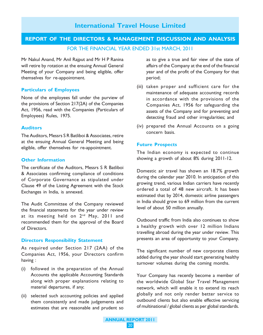## REPORT OF THE DIRECTORS & MANAGEMENT DISCUSSION AND ANALYSIS

FOR THE FINANCIAL YEAR ENDED 31st MARCH, 2011

Mr Nakul Anand, Mr Anil Rajput and Mr H P Ranina will retire by rotation at the ensuing Annual General Meeting of your Company and being eligible, offer themselves for re-appointment.

#### Particulars of Employees

None of the employees fall under the purview of the provisions of Section 217(2A) of the Companies Act, 1956, read with the Companies (Particulars of Employees) Rules, 1975.

#### Auditors

The Auditors, Messrs S R Batliboi & Associates, retire at the ensuing Annual General Meeting and being eligible, offer themselves for re-appointment.

#### Other Information

The certificate of the Auditors, Messrs S R Batliboi & Associates confirming compliance of conditions of Corporate Governance as stipulated under Clause 49 of the Listing Agreement with the Stock Exchanges in India, is annexed.

The Audit Committee of the Company reviewed the financial statements for the year under review at its meeting held on 2<sup>nd</sup> May, 2011 and recommended them for the approval of the Board of Directors.

#### Directors Responsibility Statement

As required under Section 217 (2AA) of the Companies Act, 1956, your Directors confirm having :

- (i) followed in the preparation of the Annual Accounts the applicable Accounting Standards along with proper explanations relating to material departures, if any;
- (ii) selected such accounting policies and applied them consistently and made judgements and estimates that are reasonable and prudent so

as to give a true and fair view of the state of affairs of the Company at the end of the financial year and of the profit of the Company for that period;

- (iii) taken proper and sufficient care for the maintenance of adequate accounting records in accordance with the provisions of the Companies Act, 1956 for safeguarding the assets of the Company and for preventing and detecting fraud and other irregularities; and
- (iv) prepared the Annual Accounts on a going concern basis.

#### Future Prospects

The Indian economy is expected to continue showing a growth of about 8% during 2011-12.

Domestic air travel has shown an 18.7% growth during the calendar year 2010. In anticipation of this growing trend, various Indian carriers have recently ordered a total of 48 new aircraft. It has been estimated that by 2014, domestic airline passengers in India should grow to 69 million from the current level of about 50 million annually.

Outbound traffic from India also continues to show a healthy growth with over 12 million Indians travelling abroad during the year under review. This presents an area of opportunity to your Company.

The significant number of new corporate clients added during the year should start generating healthy turnover volumes during the coming months.

Your Company has recently become a member of the worldwide Global Star Travel Management network, which will enable it to extend its reach globally and not only render better service to outbound clients but also enable effective servicing of multinational / global clients as per global standards.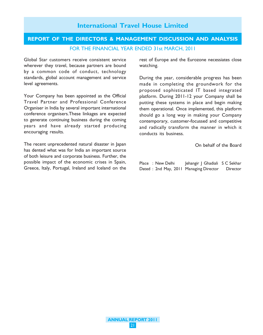## REPORT OF THE DIRECTORS & MANAGEMENT DISCUSSION AND ANALYSIS FOR THE FINANCIAL YEAR ENDED 31st MARCH, 2011

Global Star customers receive consistent service wherever they travel, because partners are bound by a common code of conduct, technology standards, global account management and service level agreements.

Your Company has been appointed as the Official Travel Partner and Professional Conference Organiser in India by several important international conference organisers.These linkages are expected to generate continuing business during the coming years and have already started producing encouraging results.

The recent unprecedented natural disaster in Japan has dented what was for India an important source of both leisure and corporate business. Further, the possible impact of the economic crises in Spain, Greece, Italy, Portugal, Ireland and Iceland on the

rest of Europe and the Eurozone necessiates close watching.

During the year, considerable progress has been made in completing the groundwork for the proposed sophisticated IT based integrated platform. During 2011-12 your Company shall be putting these systems in place and begin making them operational. Once implemented, this platform should go a long way in making your Company contemporary, customer-focussed and competitive and radically transform the manner in which it conducts its business.

On behalf of the Board

|  | Place : New Delhi | Jehangir J Ghadiali S C Sekhar         |                 |
|--|-------------------|----------------------------------------|-----------------|
|  |                   | Dated: 2nd May, 2011 Managing Director | <b>Director</b> |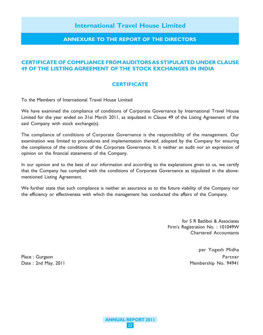#### ANNEXURE TO THE REPORT OF THE DIRECTORS

## CERTIFICATE OF COMPLIANCE FROM AUDITORS AS STIPULATED UNDER CLAUSE 49 OF THE LISTING AGREEMENT OF THE STOCK EXCHANGES IN INDIA

#### **CERTIFICATE**

To the Members of International Travel House Limited

We have examined the compliance of conditions of Corporate Governance by International Travel House Limited for the year ended on 31st March 2011, as stipulated in Clause 49 of the Listing Agreement of the said Company with stock exchange(s).

The compliance of conditions of Corporate Governance is the responsibility of the management. Our examination was limited to procedures and implementation thereof, adopted by the Company for ensuring the compliance of the conditions of the Corporate Governance. It is neither an audit nor an expression of opinion on the financial statements of the Company.

In our opinion and to the best of our information and according to the explanations given to us, we certify that the Company has complied with the conditions of Corporate Governance as stipulated in the abovementioned Listing Agreement.

We further state that such compliance is neither an assurance as to the future viability of the Company nor the efficiency or effectiveness with which the management has conducted the affairs of the Company.

> for S R Batliboi & Associates Firm's Registration No. : 101049W Chartered Accountants

per Yogesh Midha Place : Gurgaon Partner Date : 2nd May, 2011 and May 2011 and Membership No. 94941

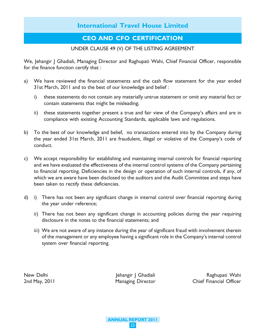## CEO AND CFO CERTIFICATION

## UNDER CLAUSE 49 (V) OF THE LISTING AGREEMENT

We, Jehangir J Ghadiali, Managing Director and Raghupati Wahi, Chief Financial Officer, responsible for the finance function certify that :

- a) We have reviewed the financial statements and the cash flow statement for the year ended 31st March, 2011 and to the best of our knowledge and belief :
	- i) these statements do not contain any materially untrue statement or omit any material fact or contain statements that might be misleading;
	- ii) these statements together present a true and fair view of the Company's affairs and are in compliance with existing Accounting Standards, applicable laws and regulations.
- b) To the best of our knowledge and belief, no transactions entered into by the Company during the year ended 31st March, 2011 are fraudulent, illegal or violative of the Company's code of conduct.
- c) We accept responsibility for establishing and maintaining internal controls for financial reporting and we have evaluated the effectiveness of the internal control systems of the Company pertaining to financial reporting. Deficiencies in the design or operation of such internal controls, if any, of which we are aware have been disclosed to the auditors and the Audit Committee and steps have been taken to rectify these deficiencies.
- d) i) There has not been any significant change in internal control over financial reporting during the year under reference;
	- ii) There has not been any significant change in accounting policies during the year requiring disclosure in the notes to the financial statements; and
	- iii) We are not aware of any instance during the year of significant fraud with involvement therein of the management or any employee having a significant role in the Company's internal control system over financial reporting.

New Delhi Jehangir J Ghadiali New Baghupati Wahi 2nd May, 2011 **Managing Director** Chief Financial Officer

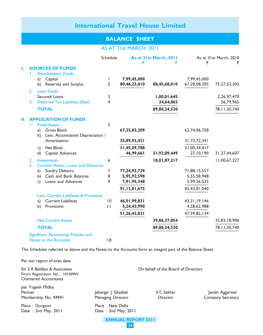## BALANCE SHEET

## AS AT 31st MARCH, 2011

|    |                |                              |                                           | Schedule     |              | As at 31st March, 2011<br>₹ | ₹               | As at 31st March, 2010 |
|----|----------------|------------------------------|-------------------------------------------|--------------|--------------|-----------------------------|-----------------|------------------------|
| 1. |                |                              | <b>SOURCES OF FUNDS</b>                   |              |              |                             |                 |                        |
|    | Τ.             |                              | Shareholders' Funds                       |              |              |                             |                 |                        |
|    |                | Capital<br>a)                |                                           | I.           | 7,99,45,000  |                             | 7,99,45,000     |                        |
|    |                | b)                           | Reserves and Surplus                      | 2            | 80,46,23,010 | 88,45,68,010                | 67,28,08,305    | 75, 27, 53, 305        |
|    | 2.             | <b>Loan Funds</b>            |                                           |              |              |                             |                 |                        |
|    |                | Secured Loans                |                                           | 3            |              | 1,00,01,645                 |                 | 2,26,97,470            |
|    | 3.             |                              | <b>Deferred Tax Liabilities (Net)</b>     | 4            |              | 34,64,865                   |                 | 56,79,965              |
|    |                | <b>TOTAL</b>                 |                                           |              |              | 89,80,34,520                |                 | 78, 11, 30, 740        |
| П. |                |                              | <b>APPLICATION OF FUNDS</b>               |              |              |                             |                 |                        |
|    | L.             | <b>Fixed Assets</b>          |                                           | 5            |              |                             |                 |                        |
|    |                | a)                           | <b>Gross Block</b>                        |              | 67,35,03,209 |                             | 62,74,06,758    |                        |
|    |                | b)                           | Less: Accumulated Depreciation /          |              |              |                             |                 |                        |
|    |                |                              | Amortisation                              |              | 35,89,93,421 |                             | 31,73,72,341    |                        |
|    |                | Net Block<br>c)              |                                           |              | 31,45,09,788 |                             | 31,00,34,417    |                        |
|    |                | d)                           | Capital Advances                          |              | 46,99,661    | 31,92,09,449                | 27,10,190       | 31,27,44,607           |
|    | 2.             | Investments                  |                                           | 6            |              | 18,01,87,217                |                 | 11,00,67,227           |
|    | 3 <sub>1</sub> |                              | <b>Current Assets, Loans and Advances</b> |              |              |                             |                 |                        |
|    |                | a)                           | <b>Sundry Debtors</b>                     | 7            | 77,24,93,729 |                             | 71,88,15,557    |                        |
|    |                | b)                           | Cash and Bank Balances                    | 8            | 5,95,92,598  |                             | 5,55,58,948     |                        |
|    |                | c)                           | Loans and Advances                        | 9            | 7,91,95,348  |                             | 5,99,26,535     |                        |
|    |                |                              |                                           |              | 91,12,81,675 |                             | 83,43,01,040    |                        |
|    |                |                              | Less: Current Liabilities & Provisions    |              |              |                             |                 |                        |
|    |                | a)                           | <b>Current Liabilities</b>                | 0            | 46,01,99,831 |                             | 43, 31, 19, 146 |                        |
|    |                | b)                           | Provisions                                | $\mathbf{H}$ | 5,24,43,990  |                             | 4,28,62,988     |                        |
|    |                |                              |                                           |              | 51,26,43,821 |                             | 47,59,82,134    |                        |
|    |                |                              | <b>Net Current Assets</b>                 |              |              | 39,86,37,854                |                 | 35,83,18,906           |
|    |                | <b>TOTAL</b>                 |                                           |              |              | 89,80,34,520                |                 | 78, 11, 30, 740        |
|    |                |                              | Significant Accounting Policies and       |              |              |                             |                 |                        |
|    |                | <b>Notes to the Accounts</b> |                                           | 8            |              |                             |                 |                        |

The Schedules referred to above and the Notes to the Accounts form an integral part of the Balance Sheet.

| Per our report of even date                                                                       |                                                                            |                                     |                                      |
|---------------------------------------------------------------------------------------------------|----------------------------------------------------------------------------|-------------------------------------|--------------------------------------|
| for S R Batliboi & Associates<br>Firm's Registration No.: 101049W<br><b>Chartered Accountants</b> |                                                                            | On behalf of the Board of Directors |                                      |
| per Yogesh Midha<br>Partner<br>Membership No. 94941                                               | Jehangir J Ghadiali<br>Managing Director                                   | S C Sekhar<br>Director              | Janaki Aggarwal<br>Company Secretary |
| Place: Gurgaon<br>Date: 2nd May, 2011                                                             | Place: New Delhi<br>Date: 2nd May, 2011<br><b>ANNUAL REPORT 2011</b><br>24 |                                     |                                      |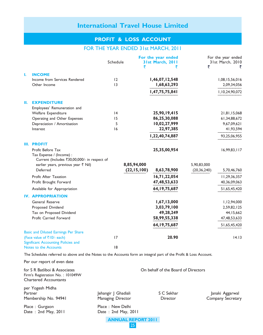## PROFIT & LOSS ACCOUNT

## FOR THE YEAR ENDED 31st MARCH, 2011

|    |                                                                                                                                                                                                                                                                                               | Schedule                                 | For the year ended<br>31st March, 2011<br>₹<br>₹                                               | ₹                            | For the year ended<br>31st March, 2010                                                       |
|----|-----------------------------------------------------------------------------------------------------------------------------------------------------------------------------------------------------------------------------------------------------------------------------------------------|------------------------------------------|------------------------------------------------------------------------------------------------|------------------------------|----------------------------------------------------------------------------------------------|
| ı. | <b>INCOME</b><br>Income from Services Rendered<br>Other Income                                                                                                                                                                                                                                | 12<br> 3                                 | 1,46,07,12,548<br>1,68,63,293<br>1,47,75,75,841                                                |                              | 1,08,15,56,016<br>2,09,34,056<br>1,10,24,90,072                                              |
| П. | <b>EXPENDITURE</b><br>Employees' Remuneration and<br>Welfare Expenditure<br>Operating and Other Expenses<br>Depreciation / Amortisation<br>Interest                                                                                                                                           | 4<br>15<br>5<br> 6                       | 25,90,19,415<br>86,25,30,088<br>10,02,27,999<br>22,97,385<br>1,22,40,74,887                    |                              | 21,81,15,068<br>61,34,88,672<br>9,67,09,621<br>41,93,594<br>93,25,06,955                     |
|    | <b>III. PROFIT</b><br>Profit Before Tax<br>Tax Expense / (Income) :<br>Current (Includes ₹30,00,000/- in respect of<br>earlier years, previous year ₹ Nil)<br>Deferred<br>Profit After Taxation<br>Profit Brought Forward                                                                     |                                          | 25,35,00,954<br>8,85,94,000<br>(22, 15, 100)<br>8,63,78,900<br>16,71,22,054<br>47, 48, 53, 633 | 5,90,83,000<br>(20, 36, 240) | 16,99,83,117<br>5,70,46,760<br>11,29,36,357<br>40,36,09,063                                  |
|    | Available for Appropriation<br><b>IV. APPROPRIATION</b><br>General Reserve<br>Proposed Dividend<br>Tax on Proposed Dividend<br>Profit Carried Forward                                                                                                                                         |                                          | 64, 19, 75, 687<br>1,67,13,000<br>3,03,79,100<br>49,28,249<br>58,99,55,338<br>64, 19, 75, 687  |                              | 51,65,45,420<br>1,12,94,000<br>2,59,82,125<br>44, 15, 662<br>47, 48, 53, 633<br>51,65,45,420 |
|    | <b>Basic and Diluted Earnings Per Share</b><br>(Face value of ₹10/- each)<br>Significant Accounting Policies and<br>Notes to the Accounts<br>The Schedules referred to above and the Notes to the Accounts form an integral part of the Profit & Loss Account.<br>Per our report of even date | 17<br> 8                                 | 20.90                                                                                          |                              | 14.13                                                                                        |
|    | for S R Batliboi & Associates<br>Firm's Registration No.: 101049W<br><b>Chartered Accountants</b>                                                                                                                                                                                             |                                          | On behalf of the Board of Directors                                                            |                              |                                                                                              |
|    | per Yogesh Midha<br>Partner<br>Membership No. 94941                                                                                                                                                                                                                                           | Jehangir J Ghadiali<br>Managing Director | S C Sekhar<br><b>Director</b>                                                                  |                              | Janaki Aggarwal<br>Company Secretary                                                         |
|    | Place: Gurgaon<br>Date: 2nd May, 2011                                                                                                                                                                                                                                                         | Place: New Delhi<br>Date: 2nd May, 2011  |                                                                                                |                              |                                                                                              |

ANNUAL REPORT 2011 25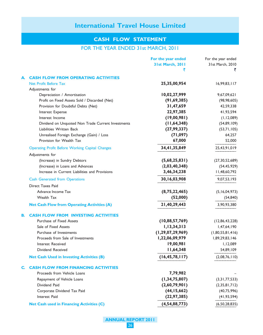## CASH FLOW STATEMENT

## FOR THE YEAR ENDED 31st MARCH, 2011

|    |                                                        | For the year ended      | For the year ended |
|----|--------------------------------------------------------|-------------------------|--------------------|
|    |                                                        | <b>31st March, 2011</b> | 31st March, 2010   |
|    |                                                        | ₹                       | ₹                  |
|    | <b>CASH FLOW FROM OPERATING ACTIVITIES</b>             |                         |                    |
|    | <b>Net Profit Before Tax</b>                           | 25,35,00,954            | 16,99,83,117       |
|    | Adjustments for                                        |                         |                    |
|    | Depreciation / Amortisation                            | 10,02,27,999            | 9,67,09,621        |
|    | Profit on Fixed Assets Sold / Discarded (Net)          | (91, 69, 385)           | (98, 98, 605)      |
|    | Provision for Doubtful Debts (Net)                     | 31,47,659               | 42,59,338          |
|    | Interest Expense                                       | 22,97,385               | 41,93,594          |
|    | Interest Income                                        | (19,00,981)             | (1, 12, 089)       |
|    | Dividend on Unquoted Non Trade Current Investments     | (11, 64, 348)           | (54, 89, 109)      |
|    | Liabilities Written Back                               | (27, 99, 337)           | (53,71,105)        |
|    | Unrealised Foreign Exchange (Gain) / Loss              | (71, 097)               | 64,257             |
|    | Provision for Wealth Tax                               | 67,000                  | 52,000             |
|    | <b>Operating Profit Before Working Capital Changes</b> | 34,41,35,849            | 25,43,91,019       |
|    | Adjustments for                                        |                         |                    |
|    | (Increase) in Sundry Debtors                           | (5,68,25,831)           | (27, 30, 52, 689)  |
|    | (Increase) in Loans and Advances                       | (2,03,40,348)           | (54, 45, 929)      |
|    | Increase in Current Liabilities and Provisions         | 3,46,34,238             | 11,48,60,792       |
|    | <b>Cash Generated from Operations</b>                  | 30,16,03,908            | 9,07,53,193        |
|    | <b>Direct Taxes Paid</b>                               |                         |                    |
|    | Advance Income Tax                                     | (8, 75, 22, 465)        | (5, 16, 04, 973)   |
|    | Wealth Tax                                             | (52,000)                | (54, 840)          |
|    |                                                        |                         |                    |
|    | <b>Net Cash Flow from Operating Activities (A)</b>     | 21,40,29,443            | 3,90,93,380        |
| В. | <b>CASH FLOW FROM INVESTING ACTIVITIES</b>             |                         |                    |
|    | Purchase of Fixed Assets                               | (10, 88, 57, 769)       | (12,86,43,228)     |
|    | Sale of Fixed Assets                                   | 1, 13, 34, 313          | 1,47,64,190        |
|    | Purchase of Investments                                | (1, 29, 07, 29, 969)    | (1,80,55,81,416)   |
|    | Proceeds from Sale of Investments                      | 1,22,06,09,979          | 1,89,29,83,146     |
|    | Interest Received                                      | 19,00,981               | 1,12,089           |
|    | Dividend Received                                      | 11,64,348               | 54,89,109          |
|    | <b>Net Cash Used in Investing Activities (B)</b>       | (16, 45, 78, 117)       | (2,08,76,110)      |
|    | <b>CASH FLOW FROM FINANCING ACTIVITIES</b>             |                         |                    |
|    | Proceeds from Vehicle Loans                            | 7,79,982                |                    |
|    | Repayment of Vehicle Loans                             | (1, 34, 75, 807)        | (3,31,77,533)      |
|    | Dividend Paid                                          | (2,60,79,901)           | (2,35,81,712)      |
|    | Corporate Dividend Tax Paid                            | (44, 15, 662)           | (40,75,996)        |
|    | Interest Paid                                          | (22, 97, 385)           | (41, 93, 594)      |
|    |                                                        |                         |                    |
|    | <b>Net Cash used in Financing Activities (C)</b>       | (4, 54, 88, 773)        | (6, 50, 28, 835)   |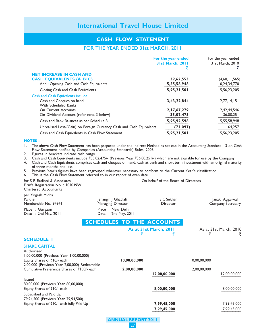#### CASH FLOW STATEMENT

#### FOR THE YEAR ENDED 31st MARCH, 2011

| For the year ended<br>31st March, 2011 | For the year ended<br>31st March, 2010 |
|----------------------------------------|----------------------------------------|
|                                        |                                        |
| 39,62,553                              | (4,68,11,565)                          |
| 5,55,58,948                            | 10,24,34,770                           |
| 5,95,21,501                            | 5, 56, 23, 205                         |
|                                        |                                        |
| 3,43,22,844                            | 2,77,14,151                            |
|                                        |                                        |
| 2,17,67,279                            | 2,42,44,546                            |
| 35,02,475                              | 36,00,251                              |
| 5,95,92,598                            | 5,55,58,948                            |
| (71, 097)                              | 64,257                                 |
| 5,95,21,501                            | 5,56,23,205                            |
|                                        |                                        |

#### NOTES :

1. The above Cash Flow Statement has been prepared under the Indirect Method as set out in the Accounting Standard - 3 on Cash Flow Statement notified by Companies (Accounting Standards) Rules, 2006.

2. Figures in brackets indicate cash outgo.

3. Cash and Cash Equivalents include `35,02,475/- (Previous Year `36,00,251/-) which are not available for use by the Company.

4. Cash and Cash Equivalents comprises cash and cheques on hand, cash at bank and short term investment with an original maturity of three months and less.

5. Previous Year's figures have been regrouped wherever necessary to conform to the Current Year's classification.

6. This is the Cash Flow Statement referred to in our report of even date.

for S R Batliboi & Associates On behalf of the Board of Directors Firm's Registration No. : 101049W Chartered Accountants per Yogesh Midha Partner Jehangir J Ghadiali S C Sekhar S C Sekhar Janaki Aggarwal<br>1991 - Janaging Director S Company Secretary Membership No. 94941 Place : Gurgaon Place : New Delhi<br>
Date : 2nd May, 2011 Place : 2nd May, 20 Date : 2nd May, 2011 SCHEDULES TO THE ACCOUNTS As at 31st March, 2011 As at 31st March, 2010 र हे स SCHEDULE 1 SHARE CAPITAL Authorised 1,00,00,000 (Previous Year 1,00,00,000) Equity Shares of `10/- each 10,00,00,000 10,00,00,000 2,00,000 (Previous Year 2,00,000) Redeemable Cumulative Preference Shares of  $\bar{\zeta}$ 100/- each 2,00,00,000 2,00,000 2,00,000 12,00,00,000 12,00,00,000 ———————— ——————— Issued 80,00,000 (Previous Year 80,00,000)<br>Equity Shares of ₹10/- each Equity Shares of  $\bar{\tau}$  10/- each  $\frac{8,00,00,000}{\sqrt{3}}$   $\frac{8,00,0000}{\sqrt{3}}$   $\frac{8,00,0000}{\sqrt{3}}$ 79,94,500 (Previous Year 79,94,500) Equity Shares of ₹10/- each fully Paid Up  $\frac{7,99,45,000}{7,99,45,000}$   $\frac{7,99,45,000}{7,99,45,000}$   $\frac{7,99,45,000}{7,99,45,000}$ 

ANNUAL REPORT 2011 27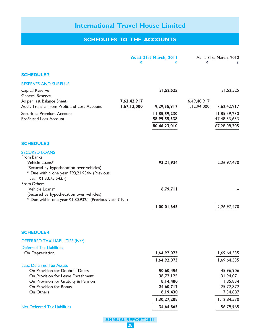## SCHEDULES TO THE ACCOUNTS

|                                                                                                                                                                          |             | As at 31st March, 2011       | ₹           | As at 31st March, 2010          |
|--------------------------------------------------------------------------------------------------------------------------------------------------------------------------|-------------|------------------------------|-------------|---------------------------------|
| <b>SCHEDULE 2</b>                                                                                                                                                        |             |                              |             |                                 |
| <b>RESERVES AND SURPLUS</b>                                                                                                                                              |             |                              |             |                                 |
| Capital Reserve<br><b>General Reserve</b><br>As per last Balance Sheet                                                                                                   | 7,62,42,917 | 31,52,525                    | 6,49,48,917 | 31,52,525                       |
| Add: Transfer from Profit and Loss Account                                                                                                                               | 1,67,13,000 | 9,29,55,917                  | 1,12,94,000 | 7,62,42,917                     |
| Securities Premium Account<br>Profit and Loss Account                                                                                                                    |             | 11,85,59,230<br>58,99,55,338 |             | 11,85,59,230<br>47, 48, 53, 633 |
|                                                                                                                                                                          |             | 80,46,23,010                 |             | 67,28,08,305                    |
| <b>SCHEDULE 3</b>                                                                                                                                                        |             |                              |             |                                 |
| <b>SECURED LOANS</b><br>From Banks<br>Vehicle Loans*<br>(Secured by hypothecation over vehicles)<br>* Due within one year ₹93,21,934/- (Previous<br>year ₹1,33,75,543/-) |             | 93,21,934                    |             | 2,26,97,470                     |
| From Others<br>Vehicle Loans*<br>(Secured by hypothecation over vehicles)                                                                                                |             | 6,79,711                     |             |                                 |
| * Due within one year ₹1,80,932/- (Previous year ₹ Nil)                                                                                                                  |             | 1,00,01,645                  |             | 2,26,97,470                     |
| <b>SCHEDULE 4</b>                                                                                                                                                        |             |                              |             |                                 |
| <b>DEFERRED TAX LIABILITIES (Net)</b>                                                                                                                                    |             |                              |             |                                 |
| <b>Deferred Tax Liabilities</b>                                                                                                                                          |             |                              |             |                                 |
| On Depreciation                                                                                                                                                          |             | 1,64,92,073                  |             | 1,69,64,535                     |
| <b>Less: Deferred Tax Assets</b>                                                                                                                                         |             | 1,64,92,073                  |             | 1,69,64,535                     |
| On Provision for Doubtful Debts                                                                                                                                          |             | 50,60,456                    |             | 45,96,906                       |
| On Provision for Leave Encashment                                                                                                                                        |             | 38,72,125                    |             | 31,94,071                       |
| On Provision for Gratuity & Pension                                                                                                                                      |             | 8,14,480                     |             | 1,85,834                        |
| On Provision for Bonus<br>On Others                                                                                                                                      |             | 24,60,717<br>8,19,430        |             | 25,72,872<br>7,34,887           |
|                                                                                                                                                                          |             |                              |             |                                 |
|                                                                                                                                                                          |             | 1,30,27,208                  |             | 1,12,84,570                     |
| <b>Net Deferred Tax Liabilities</b>                                                                                                                                      |             | 34,64,865                    |             | 56,79,965                       |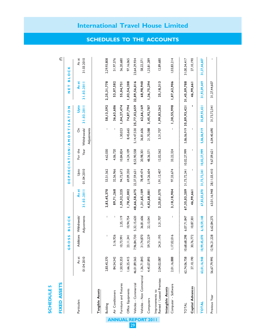| <b>FIXED ASSETS</b>                         |                     |                          |                                       |                     |                           |                           |                                  |                                       |                     | $\overline{\mathfrak{C}}$ |
|---------------------------------------------|---------------------|--------------------------|---------------------------------------|---------------------|---------------------------|---------------------------|----------------------------------|---------------------------------------|---------------------|---------------------------|
|                                             |                     | SS<br>GRO                | <b>BLOCK</b>                          |                     |                           | DEPRECIATION/AMORTISATION |                                  |                                       | H<br>N<br>Z         | ×<br><b>BLOC</b>          |
| Particulars                                 | As at<br>01.04.2010 |                          | Adjustments<br>Additions Withdrawals/ | As at<br>31.03.2011 | Upto<br>01.04.2010        | Year<br>For the           | Withdrawals/<br>δ<br>Adjustments | Upto<br>31.03.2011                    | As at<br>31.03.2011 | As at<br>31.03.2010       |
| Tangible Assets                             |                     |                          |                                       |                     |                           |                           |                                  |                                       |                     |                           |
| Building                                    | 2,83,45,370         | $\overline{\phantom{a}}$ | $\sf I$                               | 2,83,45,370         | 53,51,562                 | 4,62,030                  | $\sf I$                          | 58, 13, 592                           | 2, 25, 31, 778      | 2,29,93,808               |
| Air Conditioners                            | 84,54,342           | 5, 16, 926               |                                       | 89,71,268           | 32,56,966                 | 4,06,720                  |                                  | 36,63,686                             | 53,07,582           | 51,97,376                 |
| Furniture and Fixtures                      | 1,50,93,353         | 10,73,991                | 2,35, 19                              | 59,32,225           | 94,72,673                 | 10,84,824                 | 1,30,023                         | 1,04,27,474                           | 55,04,751           | 56,20,680                 |
| Office Equipments                           | 1,66,25,415         | 23, 1, 34                | 10,94,754                             | 1,78,42,002         | 69,09,350                 | 14,24,109                 | 8,45,665                         | 74,87,794                             | 1,03,54,208         | 97, 16, 065               |
| Vehicles - Commercial                       | 46,01,89,565        | 7,96,84,730              | 5,32,15,620                           | 48,66,58,675        | 22,37,59,631              | 8,53,90,558               |                                  | 5, 14, 47, 530 25, 77, 02, 659        | 22,89,56,016        | 23,64,29,934              |
| Vehicles - Non Commercial 1,36,71,845       |                     | 31,74,870                | 36,81,606                             | 1,31,65,109         | 78,49,474                 | 20,98,301                 | 36,81,606                        | 62,66,169                             | 68,98,940           | 58,22,37                  |
| Computers                                   | 4,45,07,893         | 59,73,229                | 22, 13, 04                            | 4,82,68,081         | 3, 19, 26, 604            | 48,36,571                 | 21,70,388                        | 3,45,92,787                           | 1,36,75,294         | 1,25,81,289               |
| Rented / Leased Premises<br>Improvements to | 2,04,02,087         | 24,31,195                | 3,31,707                              | 2,25,01,575         | 1,91,12,407               | 12,02,562                 | 3,31,707                         | 1,99,83,262                           | 25, 18, 313         | 12,89,680                 |
| Computer - Software<br>Intangible Assets    | 2,01,16,888         | 1,17,02,016              | $\sf I$                               | 3, 18, 18, 904      | 97,33,674                 | 33,22,324                 | $\mathsf I$                      | 1,30,55,998                           | 1,87,62,906         | 1,03,83,214               |
| TOTAL                                       | 62,74,06,758        | 10,68,68,298             | 6,07,71,847                           | 67,35,03,209        | 31,73,72,341 10,02,27,999 |                           |                                  | 5,86,06,919 35,89,93,421 31,45,09,788 |                     | 31,00,34,417              |
| <b>Capital Advances</b>                     | 27, 10, 190         | 30,76,772                | 10,87,301                             | 46,99,66            |                           |                           |                                  | ı                                     | 46,99,66            | 27, 10, 190               |
| <b>TOTAL</b>                                | 63,01,16,948        | 10,99,45,070             | 6, 18, 59, 148                        | 67,82,02,870        | 31,73,72,341              | 10,02,27,999              | 5,86,06,919                      | 35,89,93,421                          | 31,92,09,449        | 31,27,44,607              |
| Previous Year                               | 56,67,79,995        | 12,96,21,228             | 6,62,84,275                           | 63,01,16,948        | 28, 11, 03, 410           | 9,67,09,621               | 6,04,40,690                      | 31,73,72,341                          | 31,27,44,607        |                           |

## SCHEDULES TO THE ACCOUNTS

SCHEDULE 5

**SCHEDULE5**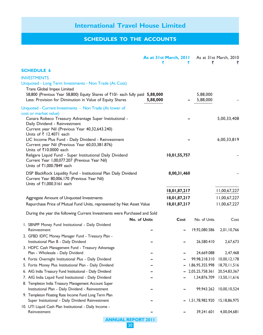## SCHEDULES TO THE ACCOUNTS

|                                                                                                                                           | ₹            | As at 31st March, 2011<br>₹ | ₹                    | As at 31st March, 2010 |
|-------------------------------------------------------------------------------------------------------------------------------------------|--------------|-----------------------------|----------------------|------------------------|
| <b>SCHEDULE 6</b>                                                                                                                         |              |                             |                      |                        |
| <b>INVESTMENTS</b>                                                                                                                        |              |                             |                      |                        |
| Unquoted - Long Term Investments - Non Trade (At Cost)                                                                                    |              |                             |                      |                        |
| Trans Global Impex Limited                                                                                                                |              |                             |                      |                        |
| 58,800 (Previous Year 58,800) Equity Shares of ₹10/- each fully paid 5,88,000<br>Less: Provision for Diminution in Value of Equity Shares | 5,88,000     |                             | 5,88,000<br>5,88,000 |                        |
| Unquoted - Current Investments - Non Trade (At lower of                                                                                   |              |                             |                      |                        |
| cost or market value)                                                                                                                     |              |                             |                      |                        |
| Canara Robeco Treasury Advantage Super Institutional -                                                                                    |              |                             |                      | 5,00,33,408            |
| Daily Dividend - Reinvestment                                                                                                             |              |                             |                      |                        |
| Current year Nil (Previous Year 40,32,643.240)<br>Units of ₹ 12.4071 each                                                                 |              |                             |                      |                        |
| LIC Income Plus Fund - Daily Dividend - Reinvestment                                                                                      |              |                             |                      | 6,00,33,819            |
| Current year Nil (Previous Year 60,03,381.876)                                                                                            |              |                             |                      |                        |
| Units of ₹10.0000 each                                                                                                                    |              |                             |                      |                        |
| Religare Liquid Fund - Super Institutional Daily Dividend                                                                                 |              | 10,01,55,757                |                      |                        |
| Current Year 1,00,077.207 (Previous Year Nil)                                                                                             |              |                             |                      |                        |
| Units of ₹1,000.7849 each                                                                                                                 |              |                             |                      |                        |
| DSP BlackRock Liquidity Fund - Institutional Plan Daily Dividend                                                                          |              | 8,00,31,460                 |                      |                        |
| Current Year 80,006.170 (Previous Year Nil)                                                                                               |              |                             |                      |                        |
| Units of ₹1,000.3161 each                                                                                                                 |              |                             |                      |                        |
|                                                                                                                                           |              | 18,01,87,217                |                      | 11,00,67,227           |
| Aggregate Amount of Unquoted Investments                                                                                                  |              | 18,01,87,217                |                      | 11,00,67,227           |
| Repurchase Price of Mutual Fund Units, represented by Net Asset Value                                                                     |              | 18,01,87,217                |                      | 11,00,67,227           |
| During the year the following Current Investments were Purchased and Sold                                                                 |              |                             |                      |                        |
|                                                                                                                                           | No. of Units | Cost                        | No. of Units         | Cost                   |
| I. SBNPP Money Fund Institutional - Daily Dividend                                                                                        |              |                             |                      |                        |
| Reinvestment                                                                                                                              |              |                             | 19,92,080.586        | 2,01,10,766            |
| 2. GFBD IDFC Money Manager Fund - Treasury Plan -                                                                                         |              |                             |                      |                        |
| Institutional Plan B - Daily Dividend                                                                                                     |              |                             | 26,580.410           | 2,67,673               |
| 3. HDFC Cash Management Fund - Treasury Advantage                                                                                         |              |                             |                      |                        |
| Plan - Wholesale - Daily Dividend                                                                                                         |              |                             | 24,669.088           | 2,47,468               |
| 4. Fortis Overnight Institutional Plus - Daily Dividend                                                                                   |              |                             | 99,98,218.310        | 10,00,12,178           |
| 5. Fortis Money Plus Institutional Plan - Daily Dividend                                                                                  |              |                             | 1,86,95,355.998      | 18,70,11,516           |
| 6. AIG India Treasury Fund Institutional - Daily Dividend                                                                                 |              |                             | 2,05,25,758.361      | 20,54,83,367           |
| 7. AIG India Liquid Fund Institutional - Daily Dividend                                                                                   |              |                             | 1,34,876.709         | 13,50,11,616           |
| 8. Templeton India Treasury Management Account Super                                                                                      |              |                             |                      |                        |
| Institutional Plan - Daily Dividend - Reinvestment                                                                                        |              |                             | 99,943.262           | 10,00,10,524           |
| 9. Templeton Floating Rate Income Fund Long Term Plan<br>Super Institutional - Daily Dividend Reinvestment                                |              |                             | 1,51,78,982.920      | 15, 18, 86, 975        |
| 10. UTI Liquid Cash Plan Institutional - Daily Income -                                                                                   |              |                             |                      |                        |
| Reinvestment                                                                                                                              |              |                             | 39,241.601           | 4,00,04,681            |
| <b>ANNUAL REPORT 2011</b>                                                                                                                 |              |                             |                      |                        |

30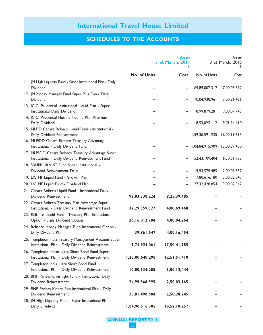## SCHEDULES TO THE ACCOUNTS

|                                                                                                            |                  | As at<br><b>31st March, 2011</b><br>₹ |                 | As at<br>31st March, 2010<br>₹ |
|------------------------------------------------------------------------------------------------------------|------------------|---------------------------------------|-----------------|--------------------------------|
|                                                                                                            | No. of Units     | Cost                                  | No. of Units    | Cost                           |
| 11. JM High Liquidity Fund - Super Institutional Plan - Daily<br><b>Dividend</b>                           |                  |                                       | 69,89,007.312   | 7,00,05,392                    |
| 12. JM Money Manager Fund Super Plus Plan - Daily<br>Dividend                                              |                  |                                       | 70,04,930.961   | 7,00,86,436                    |
| 13. ICICI Prudential Institutional Liquid Plan - Super<br>Institutional Daily Dividend                     |                  |                                       | 8,99,879.281    | 9,00,07,745                    |
| 14. ICICI Prudential Flexible Income Plan Premium -<br>Daily Dividend                                      |                  |                                       | 8,53,025.112    | 9,01,94,610                    |
| 15. NLFID Canara Robeco Liquid Fund - Institutional -<br>Daily Dividend Reinvestment                       |                  |                                       | 1,59,36,591.235 | 16,00,19,313                   |
| 16. NLPIDD Canara Robeco Treasury Advantage<br>Institutional - Daily Dividend Fund                         |                  |                                       | 1,04,84,915.909 | 13,00,87,400                   |
| 17. NLPSDD Canara Robeco Treasury Advantage Super<br>Institutional - Daily Dividend Reinvestment Fund      |                  |                                       | 52,43,109.404   | 6,50,51,783                    |
| 18. SBNPP Ultra ST Fund Super Institutional -<br>Dividend Reinvestment Daily                               |                  |                                       | 19,93,579.485   | 2,00,09,557                    |
| 19. LIC MF Liquid Fund - Growth Plan                                                                       |                  |                                       | 17,80,616.180   | 3,00,02,849                    |
| 20. LIC MF Liquid Fund - Dividend Plan                                                                     |                  |                                       | 27,32,428.854   | 3,00,02,342                    |
| 21. Canara Robeco Liquid Fund - Institutional Daily                                                        |                  |                                       |                 |                                |
| Dividend Reinvestment                                                                                      | 92,03,330.224    | 9,25,39,485                           |                 |                                |
| 22. Canara Robeco Treasury Plan Advantage Super                                                            |                  |                                       |                 |                                |
| Institutional - Daily Dividend Reinvestment Fund<br>23. Reliance Liquid Fund - Treasury Plan Institutional | 32,29,559.527    | 4,00,69,468                           |                 |                                |
| Option - Daily Dividend Option                                                                             | 26, 16, 812. 784 | 4,00,04,264                           |                 |                                |
| 24. Reliance Money Manager Fund Institutional Option -<br>Daily Dividend Plan                              | 39,961.647       | 4,00,16,454                           |                 |                                |
| 25. Templeton India Treasury Management Account Super<br>Institutional Plan - Daily Dividend Reinvestment  | 1,74,924.061     | 17,50,41,785                          |                 |                                |
| 26. Templeton Indian Ultra Short Bond Fund Super<br>Institutional Plan - Daily Dividend Reinvestment       | 1,25,00,640.298  | 12,51,51,410                          |                 |                                |
| 27. Templeton India Ultra Short Bond Fund<br>Institutional Plan - Daily Dividend Reinvestment              | 10,00,134.285    | 1,00,12,444                           |                 |                                |
| 28. BNP Paribas Overnight Fund - Institutional Daily<br>Dividend Reinvestment                              | 24,99,566.595    | 2,50,03,165                           |                 |                                |
| 29. BNP Paribas Money Plus Institutional Plan - Daily<br>Dividend Reinvestment                             | 25,01,498.684    | 2,50,28,245                           |                 |                                |
| 30. JM High Liquidity Fund - Super Institutional Plan -<br>Daily Dividend                                  | 1,84,90,516.305  | 18,52,10,257                          |                 |                                |

ANNUAL REPORT 2011

31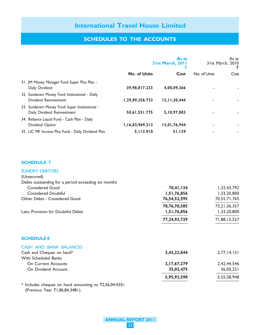## SCHEDULES TO THE ACCOUNTS

|                                                                              |                     | As at<br>31st March, 2011 |              | As at<br>31st March, 2010 |
|------------------------------------------------------------------------------|---------------------|---------------------------|--------------|---------------------------|
|                                                                              | <b>No. of Units</b> | Cost                      | No. of Units | Cost                      |
| 31. JM Money Manager Fund Super Plus Plan -<br>Daily Dividend                | 39,98,817.233       | 4,00,09,366               |              |                           |
| 32. Sundaram Money Fund Institutional - Daily<br>Dividend Reinvestment       | 1,29,89,256.733     | 13, 11, 30, 444           |              |                           |
| 33. Sundaram Money Fund Super Institutional -<br>Daily Dividend Reinvestment | 50,61,551.775       | 5,10,97,883               |              |                           |
| 34. Reliance Liquid Fund - Cash Plan - Daily<br>Dividend Option              | 1,16,83,969.313     | 13,01,76,944              |              |                           |
| 35. LIC MF Income Plus Fund - Daily Dividend Plan                            | 5,113.910           | 51,139                    |              |                           |

#### SCHEDULE 7

| <b>SUNDRY DEBTORS</b>                               |              |                 |
|-----------------------------------------------------|--------------|-----------------|
| (Unsecured)                                         |              |                 |
| Debts outstanding for a period exceeding six months |              |                 |
| <b>Considered Good</b>                              | 70,41,134    | 1,32,43,792     |
| <b>Considered Doubtful</b>                          | 1,51,76,856  | 1,33,20,800     |
| Other Debts - Considered Good                       | 76,54,52,595 | 70,55,71,765    |
|                                                     | 78,76,70,585 | 73, 21, 36, 357 |
| Less: Provision for Doubtful Debts                  | 1,51,76,856  | 1,33,20,800     |
|                                                     | 77,24,93,729 | 71,88,15,557    |
| <b>SCHEDULE 8</b>                                   |              |                 |
| CASH AND BANK BALANCES                              |              |                 |
| Cash and Cheques on hand*                           | 3,43,22,844  | 2,77,14,151     |
| With Scheduled Banks                                |              |                 |
| <b>On Current Accounts</b>                          | 2,17,67,279  | 2,42,44,546     |
| On Dividend Account                                 | 35,02,475    | 36,00,251       |
|                                                     | 5,95,92,598  | 5,55,58,948     |
|                                                     |              |                 |

\* Includes cheques on hand amounting to  $\overline{22,56,04,435/}$ -(Previous Year ₹1,86,84,348/-)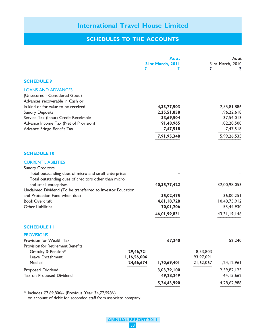## SCHEDULES TO THE ACCOUNTS

|                                                                                                                                                                                                                                                                                                                                               | ₹                                     | As at<br>31st March, 2011<br>₹                                                  | ₹                                  | As at<br>31st March, 2010<br>₹                                                    |
|-----------------------------------------------------------------------------------------------------------------------------------------------------------------------------------------------------------------------------------------------------------------------------------------------------------------------------------------------|---------------------------------------|---------------------------------------------------------------------------------|------------------------------------|-----------------------------------------------------------------------------------|
| <b>SCHEDULE 9</b>                                                                                                                                                                                                                                                                                                                             |                                       |                                                                                 |                                    |                                                                                   |
| <b>LOANS AND ADVANCES</b><br>(Unsecured - Considered Good)<br>Advances recoverable in Cash or<br>in kind or for value to be received<br><b>Sundry Deposits</b><br>Service Tax (Input) Credit Receivable<br>Advance Income Tax (Net of Provision)<br>Advance Fringe Benefit Tax                                                                |                                       | 4,33,77,503<br>2,25,51,858<br>33,69,504<br>91,48,965<br>7,47,518<br>7,91,95,348 |                                    | 2,55,81,886<br>1,96,22,618<br>37,54,013<br>1,02,20,500<br>7,47,518<br>5,99,26,535 |
| <b>SCHEDULE 10</b>                                                                                                                                                                                                                                                                                                                            |                                       |                                                                                 |                                    |                                                                                   |
| <b>CURRENT LIABILITIES</b><br><b>Sundry Creditors</b><br>Total outstanding dues of micro and small enterprises<br>Total outstanding dues of creditors other than micro<br>and small enterprises<br>Unclaimed Dividend (To be transferred to Investor Education<br>and Protection Fund when due)<br><b>Book Overdraft</b><br>Other Liabilities |                                       | 40, 35, 77, 422<br>35,02,475<br>4,61,18,728<br>70,01,206<br>46,01,99,831        |                                    | 32,00,98,053<br>36,00,251<br>10,40,75,912<br>53,44,930<br>43, 31, 19, 146         |
| <b>SCHEDULE II</b>                                                                                                                                                                                                                                                                                                                            |                                       |                                                                                 |                                    |                                                                                   |
| <b>PROVISIONS</b><br>Provision for Wealth Tax<br><b>Provision for Retirement Benefits</b><br>Gratuity & Pension*<br>Leave Encashment<br>Medical                                                                                                                                                                                               | 29,46,721<br>1,16,56,006<br>24,66,674 | 67,240<br>1,70,69,401                                                           | 8,53,803<br>93,97,091<br>21,62,067 | 52,240<br>1,24,12,961                                                             |
| Proposed Dividend<br>Tax on Proposed Dividend                                                                                                                                                                                                                                                                                                 |                                       | 3,03,79,100<br>49,28,249                                                        |                                    | 2,59,82,125<br>44, 15, 662                                                        |
|                                                                                                                                                                                                                                                                                                                                               |                                       | 5,24,43,990                                                                     |                                    | 4,28,62,988                                                                       |

\* Includes  $\bar{z}$ 7,69,806/- (Previous Year  $\bar{z}$ 4,77,598/-) on account of debit for seconded staff from associate company.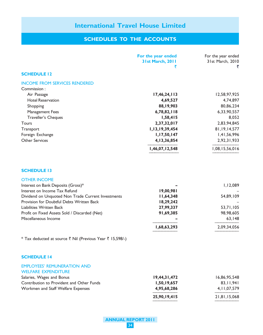## SCHEDULES TO THE ACCOUNTS

| 17,46,24,113<br>4,69,527<br>88,19,903<br>6,78,82,118<br>1,58,415<br>2,37,32,017<br>1,13,19,39,454<br>1, 17, 50, 147<br>4, 13, 36, 854<br>1,46,07,12,548 | 12,58,97,925<br>4,74,897<br>80,86,234<br>6,33,90,557<br>8,052<br>2,83,94,845<br>81, 19, 14, 577<br>1,41,56,996<br>2,92,31,933<br>1,08,15,56,016 |
|---------------------------------------------------------------------------------------------------------------------------------------------------------|-------------------------------------------------------------------------------------------------------------------------------------------------|
|                                                                                                                                                         |                                                                                                                                                 |
|                                                                                                                                                         |                                                                                                                                                 |
|                                                                                                                                                         |                                                                                                                                                 |
|                                                                                                                                                         |                                                                                                                                                 |
|                                                                                                                                                         |                                                                                                                                                 |
|                                                                                                                                                         |                                                                                                                                                 |
|                                                                                                                                                         |                                                                                                                                                 |
|                                                                                                                                                         |                                                                                                                                                 |
|                                                                                                                                                         |                                                                                                                                                 |
|                                                                                                                                                         |                                                                                                                                                 |
|                                                                                                                                                         |                                                                                                                                                 |
|                                                                                                                                                         |                                                                                                                                                 |
|                                                                                                                                                         |                                                                                                                                                 |
|                                                                                                                                                         |                                                                                                                                                 |
|                                                                                                                                                         |                                                                                                                                                 |
|                                                                                                                                                         | 1,12,089                                                                                                                                        |
| 19,00,981                                                                                                                                               |                                                                                                                                                 |
| 11,64,348                                                                                                                                               | 54,89,109                                                                                                                                       |
| 18,29,242                                                                                                                                               |                                                                                                                                                 |
|                                                                                                                                                         | 53,71,105                                                                                                                                       |
|                                                                                                                                                         | 98,98,605                                                                                                                                       |
|                                                                                                                                                         | 63,148                                                                                                                                          |
|                                                                                                                                                         | 2,09,34,056                                                                                                                                     |
|                                                                                                                                                         |                                                                                                                                                 |
|                                                                                                                                                         |                                                                                                                                                 |
|                                                                                                                                                         |                                                                                                                                                 |
|                                                                                                                                                         |                                                                                                                                                 |
| 19,44,31,472                                                                                                                                            | 16,86,95,548                                                                                                                                    |
| 1,50,19,657                                                                                                                                             | 83, 11, 941                                                                                                                                     |
| 4,95,68,286                                                                                                                                             | 4, 11, 07, 579                                                                                                                                  |
| 25,90,19,415                                                                                                                                            | 21,81,15,068                                                                                                                                    |
|                                                                                                                                                         | 27,99,337<br>91,69,385<br>1,68,63,293                                                                                                           |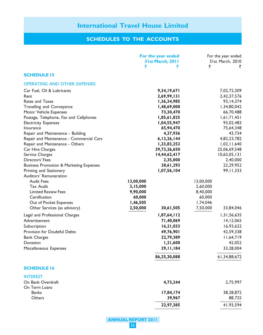## SCHEDULES TO THE ACCOUNTS

|                                                                                                                                                | For the year ended<br><b>31st March, 2011</b><br>₹<br>₹                          | For the year ended<br>31st March, 2010<br>₹<br>₹                                 |
|------------------------------------------------------------------------------------------------------------------------------------------------|----------------------------------------------------------------------------------|----------------------------------------------------------------------------------|
| <b>SCHEDULE 15</b>                                                                                                                             |                                                                                  |                                                                                  |
| <b>OPERATING AND OTHER EXPENSES</b>                                                                                                            |                                                                                  |                                                                                  |
| Car Fuel, Oil & Lubricants<br>Rent<br>Rates and Taxes                                                                                          | 9,34,19,671<br>2,69,99,131<br>1,36,34,985                                        | 7,02,72,309<br>2,42,37,576<br>93, 14, 374                                        |
| Travelling and Conveyance<br>Motor Vehicle Expenses                                                                                            | 1,48,69,000<br>73,30,470                                                         | 1,34,80,042<br>66,70,488                                                         |
| Postage, Telephone, Fax and Cellphones<br><b>Electricity Expenses</b><br>Insurance                                                             | 1,85,61,825<br>1,04,55,947<br>65,94,470                                          | 1,61,71,451<br>93,02,483<br>75,64,348                                            |
| Repair and Maintenance - Building<br>Repair and Maintenance - Commercial Cars<br>Repair and Maintenance - Others                               | 4,37,936<br>6, 13, 26, 144<br>1,23,83,252                                        | 43,734<br>4,82,23,782<br>1,02,11,640                                             |
| Car Hire Charges<br>Service Charges<br>Directors' Fees                                                                                         | 39,73,26,650<br>14,44,62,417<br>2,35,000                                         | 25,06,69,548<br>10,65,05,131<br>2,40,000                                         |
| <b>Business Promotion &amp; Marketing Expenses</b><br>Printing and Stationery<br>Auditors' Remuneration                                        | 28,61,293<br>1,07,56,104                                                         | 22,29,952<br>99, 11, 333                                                         |
| <b>Audit Fees</b><br><b>Tax Audit</b><br><b>Limited Review Fees</b><br>Certification<br>Out of Pocket Expenses<br>Other Services (as advisory) | 13,00,000<br>3,15,000<br>9,90,000<br>60,000<br>1,46,505<br>2,50,000<br>30,61,505 | 13,00,000<br>2,60,000<br>8,40,000<br>60,000<br>1,74,046<br>7,50,000<br>33,84,046 |
| Legal and Professional Charges                                                                                                                 | 1,87,64,112                                                                      | 1,31,56,635                                                                      |
| Advertisement<br>Subscription<br><b>Provision for Doubtful Debts</b>                                                                           | 71,40,069<br>16,21,033<br>49,76,901                                              | 14, 12, 065<br>16,93,622<br>42,59,338                                            |
| <b>Bank Charges</b><br>Donation<br>Miscellaneous Expenses                                                                                      | 22,79,389<br>1,21,600<br>29, 11, 184                                             | 11,64,719<br>42,052<br>33,28,004                                                 |
|                                                                                                                                                | 86,25,30,088                                                                     | 61,34,88,672                                                                     |
| <b>SCHEDULE 16</b>                                                                                                                             |                                                                                  |                                                                                  |
| <b>INTEREST</b><br>On Bank Overdraft<br>On Term Loans                                                                                          | 4,73,244                                                                         | 2,75,997                                                                         |
| <b>Banks</b><br>Others                                                                                                                         | 17,84,174<br>39,967<br>22,97,385                                                 | 38,28,872<br>88,725<br>41,93,594                                                 |
|                                                                                                                                                |                                                                                  |                                                                                  |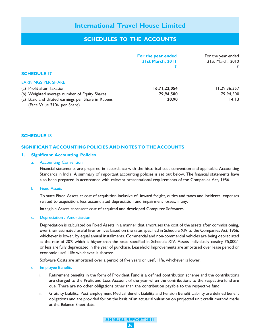## SCHEDULES TO THE ACCOUNTS

|                                                    | For the year ended<br>31st March, 2011 | For the year ended<br>31st March, 2010 |
|----------------------------------------------------|----------------------------------------|----------------------------------------|
| <b>SCHEDULE 17</b>                                 |                                        |                                        |
| <b>EARNINGS PER SHARE</b>                          |                                        |                                        |
| (a) Profit after Taxation                          | 16,71,22,054                           | 11, 29, 36, 357                        |
| (b) Weighted average number of Equity Shares       | 79,94,500                              | 79,94,500                              |
| (c) Basic and diluted earnings per Share in Rupees | 20.90                                  | 14.13                                  |
| (Face Value ₹10/- per Share)                       |                                        |                                        |

#### SCHEDULE 18

#### SIGNIFICANT ACCOUNTING POLICIES AND NOTES TO THE ACCOUNTS

#### 1. Significant Accounting Policies

#### a. Accounting Convention

Financial statements are prepared in accordance with the historical cost convention and applicable Accounting Standards in India. A summary of important accounting policies is set out below. The financial statements have also been prepared in accordance with relevant presentational requirements of the Companies Act, 1956.

#### b. Fixed Assets

To state Fixed Assets at cost of acquisition inclusive of inward freight, duties and taxes and incidental expenses related to acquisition, less accumulated depreciation and impairment losses, if any.

Intangible Assets represent cost of acquired and developed Computer Softwares.

#### c. Depreciation / Amortisation

Depreciation is calculated on Fixed Assets in a manner that amortises the cost of the assets after commissioning, over their estimated useful lives or lives based on the rates specified in Schedule XIV to the Companies Act, 1956, whichever is lower, by equal annual installments. Commercial and non-commercial vehicles are being depreciated at the rate of 20% which is higher than the rates specified in Schedule XIV. Assets individually costing  $\overline{55,000/-}$ or less are fully depreciated in the year of purchase. Leasehold Improvements are amortised over lease period or economic useful life whichever is shorter.

Software Costs are amortised over a period of five years or useful life, whichever is lower.

#### d. Employee Benefits

- i. Retirement benefits in the form of Provident Fund is a defined contribution scheme and the contributions are charged to the Profit and Loss Account of the year when the contributions to the respective fund are due. There are no other obligations other than the contribution payable to the respective fund.
- ii. Gratuity Liability, Post Employment Medical Benefit Liability and Pension Benefit Liability are defined benefit obligations and are provided for on the basis of an actuarial valuation on projected unit credit method made at the Balance Sheet date.

ANNUAL REPORT 2011 36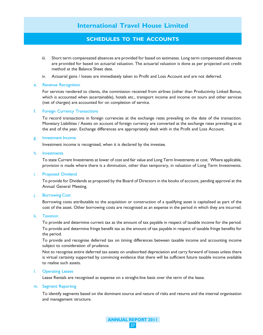## SCHEDULES TO THE ACCOUNTS

- iii. Short term compensated absences are provided for based on estimates. Long term compensated absences are provided for based on actuarial valuation. The actuarial valuation is done as per projected unit credit method at the Balance Sheet date.
- iv. Actuarial gains / losses are immediately taken to Profit and Loss Account and are not deferred.

#### e. Revenue Recognition

For services rendered to clients, the commission received from airlines (other than Productivity Linked Bonus, which is accounted when ascertainable), hotels etc., transport income and income on tours and other services (net of charges) are accounted for on completion of service.

#### f. Foreign Currency Transactions

To record transactions in foreign currencies at the exchange rates prevailing on the date of the transaction. Monetary Liabilities / Assets on account of foreign currency are converted at the exchange rates prevailing as at the end of the year. Exchange differences are appropriately dealt with in the Profit and Loss Account.

#### g. Investment Income

Investment income is recognised, when it is declared by the investee.

#### h. Investments

To state Current Investments at lower of cost and fair value and Long Term Investments at cost. Where applicable, provision is made where there is a diminution, other than temporary, in valuation of Long Term Investments.

#### i. Proposed Dividend

To provide for Dividends as proposed by the Board of Directors in the books of account, pending approval at the Annual General Meeting.

#### j. Borrowing Cost

Borrowing costs attributable to the acquisition or construction of a qualifying asset is capitalised as part of the cost of the asset. Other borrowing costs are recognised as an expense in the period in which they are incurred.

#### k. Taxation

To provide and determine current tax as the amount of tax payable in respect of taxable income for the period. To provide and determine fringe benefit tax as the amount of tax payable in respect of taxable fringe benefits for the period.

To provide and recognise deferred tax on timing differences between taxable income and accounting income subject to consideration of prudence.

Not to recognise entire deferred tax assets on unabsorbed depreciation and carry forward of losses unless there is virtual certainty supported by convincing evidence that there will be sufficient future taxable income available to realise such assets.

#### l. Operating Leases

Lease Rentals are recognised as expense on a straight-line basis over the term of the lease.

#### m. Segment Reporting

To identify segments based on the dominant source and nature of risks and returns and the internal organisation and management structure.

> ANNUAL REPORT 2011 37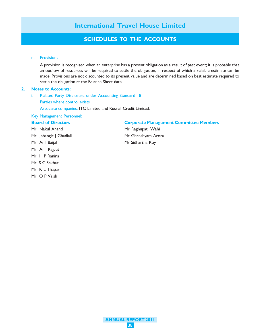## SCHEDULES TO THE ACCOUNTS

#### n. Provisions

A provision is recognised when an enterprise has a present obligation as a result of past event; it is probable that an outflow of resources will be required to settle the obligation, in respect of which a reliable estimate can be made. Provisions are not discounted to its present value and are determined based on best estimate required to settle the obligation at the Balance Sheet date.

#### 2. Notes to Accounts:

- i. Related Party Disclosure under Accounting Standard 18
	- Parties where control exists

Associate companies: ITC Limited and Russell Credit Limited.

#### Key Management Personnel:

#### Board of Directors Corporate Management Committee Members

- Mr Nakul Anand Mr Raghupati Wahi Mr Jehangir J Ghadiali Mr Ghanshyam Arora Mr Anil Baijal Mr Sidhartha Roy
- Mr Anil Rajput Mr H P Ranina
- Mr S C Sekhar
- Mr K L Thapar
- Mr O P Vaish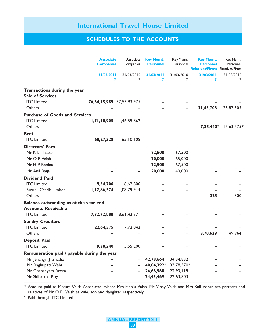## SCHEDULES TO THE ACCOUNTS

|                                             | <b>Associate</b><br><b>Companies</b> | Associate<br>Companies | <b>Key Mgmt.</b><br><b>Personnel</b> | Key Mgmt.<br>Personnel | <b>Key Mgmt.</b><br><b>Personnel</b><br><b>Relatives/Firms</b> | Key Mgmt.<br>Personnel<br>Relatives/Firms |
|---------------------------------------------|--------------------------------------|------------------------|--------------------------------------|------------------------|----------------------------------------------------------------|-------------------------------------------|
|                                             | 31/03/2011<br>₹                      | 31/03/2010<br>₹        | 31/03/2011<br>₹                      | 31/03/2010<br>₹        | 31/03/2011<br>₹                                                | 31/03/2010<br>₹                           |
| Transactions during the year                |                                      |                        |                                      |                        |                                                                |                                           |
| <b>Sale of Services</b>                     |                                      |                        |                                      |                        |                                                                |                                           |
| <b>ITC</b> Limited                          | 76,64,15,989 57,53,93,975            |                        |                                      |                        |                                                                |                                           |
| <b>Others</b>                               |                                      |                        |                                      |                        | 31,43,708                                                      | 25,87,305                                 |
| <b>Purchase of Goods and Services</b>       |                                      |                        |                                      |                        |                                                                |                                           |
| <b>ITC</b> Limited                          | 1,71,10,905                          | 1,46,59,862            |                                      |                        |                                                                |                                           |
| Others                                      |                                      |                        |                                      |                        | 7,35,440*                                                      | 15,63,575*                                |
| <b>Rent</b>                                 |                                      |                        |                                      |                        |                                                                |                                           |
| <b>ITC</b> Limited                          | 68,27,328                            | 65,10,108              |                                      |                        |                                                                |                                           |
| <b>Directors' Fees</b>                      |                                      |                        |                                      |                        |                                                                |                                           |
| Mr K L Thapar                               |                                      |                        | 72,500                               | 67,500                 |                                                                |                                           |
| Mr O P Vaish                                |                                      |                        | 70,000                               | 65,000                 |                                                                |                                           |
| Mr H P Ranina                               |                                      |                        | 72,500                               | 67,500                 |                                                                |                                           |
| Mr Anil Baijal                              |                                      |                        | 20,000                               | 40,000                 |                                                                |                                           |
| <b>Dividend Paid</b>                        |                                      |                        |                                      |                        |                                                                |                                           |
| <b>ITC</b> Limited                          | 9,34,700                             | 8,62,800               |                                      |                        |                                                                |                                           |
| <b>Russell Credit Limited</b>               | 1,17,86,574                          | 1,08,79,914            |                                      |                        |                                                                |                                           |
| Others                                      |                                      |                        |                                      |                        | 325                                                            | 300                                       |
| Balance outstanding as at the year end      |                                      |                        |                                      |                        |                                                                |                                           |
| <b>Accounts Receivable</b>                  |                                      |                        |                                      |                        |                                                                |                                           |
| <b>ITC</b> Limited                          | 7,72,72,888                          | 8,61,43,771            |                                      |                        |                                                                |                                           |
| <b>Sundry Creditors</b>                     |                                      |                        |                                      |                        |                                                                |                                           |
| <b>ITC</b> Limited                          | 22,64,575                            | 17,72,042              |                                      |                        |                                                                |                                           |
| <b>Others</b>                               |                                      |                        |                                      |                        | 3,70,629                                                       | 49,964                                    |
| <b>Deposit Paid</b>                         |                                      |                        |                                      |                        |                                                                |                                           |
| <b>ITC</b> Limited                          | 9,38,240                             | 5,55,200               |                                      |                        |                                                                |                                           |
| Remuneration paid / payable during the year |                                      |                        |                                      |                        |                                                                |                                           |
| Mr Jehangir J Ghadiali                      |                                      |                        | 42,78,664                            | 34, 34, 832            |                                                                |                                           |
| Mr Raghupati Wahi                           |                                      |                        | 40,04,392#                           | 33,78,570#             |                                                                |                                           |
| Mr Ghanshyam Arora                          |                                      |                        | 26,68,960                            | 22,93,119              |                                                                |                                           |
| Mr Sidhartha Roy                            |                                      |                        | 24,45,469                            | 22,63,803              |                                                                |                                           |

——————————————————————————————————————————————————————————————————————————— \* Amount paid to Messrs Vaish Associates, where Mrs Manju Vaish, Mr Vinay Vaish and Mrs Kali Vohra are partners and relatives of Mr O P Vaish as wife, son and daughter respectively.

# Paid through ITC Limited.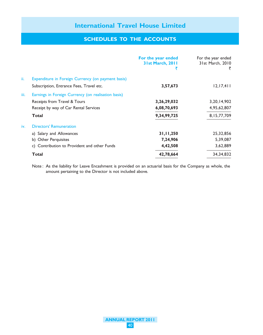## SCHEDULES TO THE ACCOUNTS

|      |                                                     | For the year ended<br><b>31st March, 2011</b> | For the year ended<br>31st March, 2010<br>₹ |
|------|-----------------------------------------------------|-----------------------------------------------|---------------------------------------------|
| ii.  | Expenditure in Foreign Currency (on payment basis)  |                                               |                                             |
|      | Subscription, Entrance Fees, Travel etc.            | 3,57,673                                      | 12, 17, 411                                 |
| iii. | Earnings in Foreign Currency (on realisation basis) |                                               |                                             |
|      | Receipts from Travel & Tours                        | 3,26,29,032                                   | 3, 20, 14, 902                              |
|      | Receipt by way of Car Rental Services               | 6,08,70,693                                   | 4,95,62,807                                 |
|      | Total                                               | 9,34,99,725                                   | 8, 15, 77, 709                              |
| iv.  | <b>Directors' Remuneration</b>                      |                                               |                                             |
|      | a) Salary and Allowances                            | 31,11,250                                     | 25,32,856                                   |
|      | b) Other Perquisites                                | 7,24,906                                      | 5,39,087                                    |
|      | c) Contribution to Provident and other Funds        | 4,42,508                                      | 3,62,889                                    |
|      | <b>Total</b>                                        | 42,78,664                                     | 34, 34, 832                                 |

Note : As the liability for Leave Encashment is provided on an actuarial basis for the Company as whole, the amount pertaining to the Director is not included above.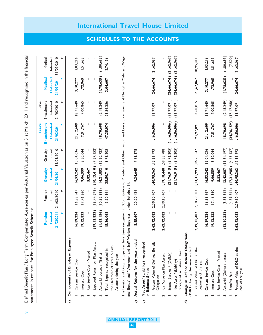Defined Benefit Plan / Long Term Compensated Absences-as per Actuarial Valuation as on 31st March, 2011 and recognised in the financial Defined Benefit Plan / Long Term Compensated Absences-as per Actuarial Valuation as on 31st March, 2011 and recognised in the financial statements in respect for Employee Benefit Schemes: statements in respect for Employee Benefit Schemes:

v

|                        |                                                                                                                                                                                                                                     |               |                |                               |                         | Leave            | Leave         |                             |                             |
|------------------------|-------------------------------------------------------------------------------------------------------------------------------------------------------------------------------------------------------------------------------------|---------------|----------------|-------------------------------|-------------------------|------------------|---------------|-----------------------------|-----------------------------|
|                        |                                                                                                                                                                                                                                     | Pension       | Pension        | Gratuity                      | Gratuity                | Encashment       | Encashment    | Medical                     | Medical                     |
|                        |                                                                                                                                                                                                                                     | Funded        | Funded         | <b>Funded</b>                 | Funded                  | Unfunded         | Unfunded      | Unfunded                    | Unfunded                    |
|                        |                                                                                                                                                                                                                                     | 31/03/2011    | 31/03/2010     | 31/03/2011                    | 31/03/2010              | 31/03/2011       | 31/03/2010    | 31/03/2011                  | 31/03/2010                  |
|                        |                                                                                                                                                                                                                                     |               |                |                               |                         |                  | ₩             |                             |                             |
| ัล                     | -xpense<br>Components of Employer                                                                                                                                                                                                   |               |                |                               |                         |                  |               |                             |                             |
|                        | Current Service Cost                                                                                                                                                                                                                | 16,89,224     | 16,83,947      | 16,53,242                     | 15,04,036               | 21,12,609        | 18,71,640     | 3, 10, 277                  | 3,03,216                    |
|                        | Interest Cost<br>$\overline{a}$                                                                                                                                                                                                     | 19,12,833     | 17,46,360      | 9,06,559                      | 8,50,044                | 7,51,767         | 7,00,865      | 1,72,965                    | 1,51,633                    |
|                        | Past Service Cost - Vested<br>$\ddot{ }$                                                                                                                                                                                            |               |                | 5,82,467                      |                         |                  |               |                             |                             |
|                        | Expected Return on Plan Assets<br>4.                                                                                                                                                                                                | (19, 12, 833) | (18, 44, 578)  | (10, 13, 410)                 | (7,57,152)              |                  |               |                             |                             |
|                        | Actuarial Losses / (Gains)<br>ن<br>د                                                                                                                                                                                                | (1,63,156)    | (10, 35, 388)  | $14,21,852$ (12,20,723)       |                         | 18,70,698        | (2, 18, 249)  | (1,78,635)                  | (1,80,693)                  |
|                        | Total Expense recognised in<br>نۍ                                                                                                                                                                                                   | 15,26,068     | 5,50,341       | 35,50,710                     | 3,76,205                | 47,35,074        | 23,54,256     | 3,04,607                    | 2,74,156                    |
|                        | the Statement of Profit & Loss<br>Account during the year                                                                                                                                                                           |               |                |                               |                         |                  |               |                             |                             |
|                        | The Pension and Gratuity Expenses have been recognised in "Contribution to Provident and Other Funds" and Leave Encashment and Medical in "Salaries, Wages<br>and Bonus" and "Workmen and Staff Welfare Expenses" under Schedule 14 |               |                |                               |                         |                  |               |                             |                             |
| ଢ                      | ended<br>Actual Returns for the year                                                                                                                                                                                                | 8,55,607      | 20,20,424      | 9,34,645                      | 7,93,378                | I                |               | ı                           |                             |
| $\widehat{\mathbf{c}}$ | Net Asset (Liability) recognised<br>in Balance Sheet                                                                                                                                                                                |               |                |                               |                         |                  |               |                             |                             |
|                        | Present Value of Defined Benefit<br>Obligation                                                                                                                                                                                      | 2,62,92,082   | 2,39,10,407    | 1,40,95,363 1,13,31,993       |                         | 1,16,56,006      | 93, 97, 091   | 24,66,674                   | 21,62,067                   |
|                        | Fair Value on Plan Assets<br>$\overline{\mathcal{L}}$                                                                                                                                                                               | 2,62,92,082   | 2,39,10,407    | 1, 19, 18, 448 1, 09, 55, 788 |                         |                  |               |                             |                             |
|                        | Status [Surplus / (Deficit)]<br>$\ddot{ }$                                                                                                                                                                                          |               |                | $(21,76,915)$ $(3,76,205)$    |                         | (1, 16, 56, 006) | (93, 97, 091) |                             | $(24,66,674)$ $(21,62,067)$ |
|                        | recognised in Balance Sheet<br>Net Asset / (Liability)<br>4.                                                                                                                                                                        |               |                | $(21,76,915)$ $(3,76,205)$    |                         | (1, 16, 56, 006) | (93, 97, 091) | $(24,66,674)$ $(21,62,067)$ |                             |
| $\widehat{\sigma}$     | Change in Defined Benefit Obligations<br>(DBO) during the year ended                                                                                                                                                                |               |                |                               |                         |                  |               |                             |                             |
|                        | Present Value of DBO at the<br>beginning of the year<br>$\overline{a}$                                                                                                                                                              | 2,39,10,407   | 2, 18, 29, 503 | 1, 13, 31, 993 1, 06, 25, 547 |                         | 93, 97, 091      | 87,60,815     | 21,62,067                   | 8,95,41                     |
|                        | Current Service Cost<br>نہ<br>                                                                                                                                                                                                      | 16,89,224     | 16,83,947      | 16,53,242                     | 15,04,036               | 21,12,609        | 18,71,640     | 3, 10, 277                  | 3,03,216                    |
|                        | Interest Cost<br>$\ddot{ }$                                                                                                                                                                                                         | 19, 12, 833   | 17,46,360      | 9,06,559                      | 8,50,044                | 7,51,767         | 7,00,865      | 1,72,965                    | 1,51,633                    |
|                        | Past Service Cost - Vested<br>4.                                                                                                                                                                                                    |               |                | 5,82,467                      |                         |                  |               |                             |                             |
|                        | Actuarial (Gains) / Losses<br>ьó                                                                                                                                                                                                    | (12, 20, 382) | (8,59,542)     |                               | $13,43,087$ (11,84,497) | 18,70,698        | (2, 18, 249)  | (1,78,635)                  | (1,80,693)                  |
|                        | Benefits Paid<br>Ġ                                                                                                                                                                                                                  |               | (4, 89, 861)   | $(17,21,985)$ $(4,63,137)$    |                         | (24, 76, 159)    | (17, 17, 980) |                             | (7,500)                     |
|                        | Present Value of DBO at the<br>end of the year                                                                                                                                                                                      | 2,62,92,082   | 2,39,10,407    | 1,40,95,363 1,13,31,993       |                         | 1,16,56,006      | 93, 97, 091   | 24,66,674                   | 21,62,067                   |

## International Travel House Limited

SCHEDULES TO THE ACCOUNTS

ANNUAL REPORT 2011 41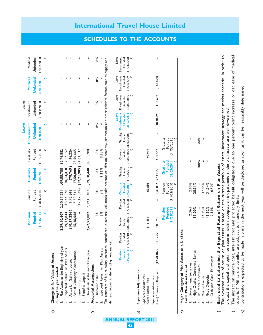|                        |                                                                                                                                                                                                                                                                  |                                                                                              |                          |                           |                               |                          | Leave             | Leave                     |                     |              |
|------------------------|------------------------------------------------------------------------------------------------------------------------------------------------------------------------------------------------------------------------------------------------------------------|----------------------------------------------------------------------------------------------|--------------------------|---------------------------|-------------------------------|--------------------------|-------------------|---------------------------|---------------------|--------------|
|                        |                                                                                                                                                                                                                                                                  | Pension                                                                                      | Pension                  | Gratuity                  | Gratuity                      | Encashment               |                   | Encashment                | Medical             | Medical      |
|                        |                                                                                                                                                                                                                                                                  | Funded                                                                                       | Funded                   | Funded                    | Funded                        | Unfunded                 |                   | Unfunded                  | Unfunded            | Unfunded     |
|                        |                                                                                                                                                                                                                                                                  | 31/03/2011                                                                                   | 31/03/2010               | 31/03/2011                | 31/03/2010                    | 31/03/2011               |                   | 31/03/2010                | 31/03/2011          | 31/03/2010   |
|                        |                                                                                                                                                                                                                                                                  |                                                                                              | ₩                        |                           |                               |                          |                   |                           |                     |              |
| ಾ                      | Change in fair Value of Assets                                                                                                                                                                                                                                   |                                                                                              |                          |                           |                               |                          |                   |                           |                     |              |
|                        | during the year ended                                                                                                                                                                                                                                            |                                                                                              |                          |                           |                               |                          |                   |                           |                     |              |
|                        | year<br>Plan Assets at the Beginning of                                                                                                                                                                                                                          | 2,39,10,407                                                                                  | 2,30,57,221              | 1,09,55,788               | 82,74,882                     |                          |                   |                           |                     |              |
|                        | Expected Return on Plan Assets<br>$\overline{N}$                                                                                                                                                                                                                 | 19, 12, 833                                                                                  | 18,44,578                | 10, 13, 410               | 7,57,152                      |                          |                   |                           |                     |              |
|                        | Actuarial (Gains) / Losses                                                                                                                                                                                                                                       | (10, 57, 226)                                                                                | 1,75,846                 | (78, 765)                 | 36,226                        |                          | т.                |                           | <b>IIII</b>         | $\mathbf{1}$ |
|                        | $\equiv$<br>Actual Company Contributio                                                                                                                                                                                                                           | 15,26,068                                                                                    | 5,50,341                 | 17,50,000                 | 23,50,665                     |                          | т.                | $\mathbf{I} = \mathbf{I}$ |                     | $\mathbf{I}$ |
|                        | Benefits Paid                                                                                                                                                                                                                                                    |                                                                                              | (17, 17, 579)            | (17, 21, 985)             | (4,63,137)                    |                          | л.                |                           |                     | $\mathbf{I}$ |
|                        | Benefits Unpaid                                                                                                                                                                                                                                                  |                                                                                              |                          |                           |                               |                          | т.                | $\mathbf{I}$ $\mathbf{I}$ |                     | л.           |
|                        | Plan Assets at the end of the year                                                                                                                                                                                                                               | 2,62,92,082                                                                                  | 2,39,10,407              |                           | 1, 19, 18, 448 1, 09, 55, 788 |                          | п                 | $\overline{\phantom{a}}$  |                     |              |
| ⇐                      | Actuarial Assumptions                                                                                                                                                                                                                                            |                                                                                              |                          |                           |                               |                          |                   |                           |                     |              |
|                        | Discount Rate                                                                                                                                                                                                                                                    | 8%                                                                                           | 8%                       | 8%                        | %<br>8                        |                          | 8%                | 8%                        | 8%                  | 8%           |
|                        | Expected Return on Plan Assets                                                                                                                                                                                                                                   | 8%                                                                                           | 8%                       | 9.25%                     | 9.15%                         |                          |                   |                           |                     |              |
|                        | The estimates of future salary increases, considered in actuarial valuations take account of inflation, seniority, promotion and other relevant factors such as supply and                                                                                       |                                                                                              |                          |                           |                               |                          |                   |                           |                     |              |
|                        | market.<br>demand factors in the employment                                                                                                                                                                                                                      |                                                                                              |                          |                           |                               |                          |                   |                           |                     |              |
|                        |                                                                                                                                                                                                                                                                  |                                                                                              |                          |                           |                               |                          | Leave             | Leave                     | Leave               | Leave        |
|                        | Pension                                                                                                                                                                                                                                                          | Pension<br>Pension                                                                           | Pension                  | Gratuity<br>Gratuity      | Gratuity                      | Gratuity                 | <b>Encashment</b> | Encashment                | Encashment          | Encashment   |
|                        | <b>Funded</b>                                                                                                                                                                                                                                                    | Funded<br>Funded                                                                             | Funded                   | Funded<br><b>Funded</b>   | Funded                        | Funded                   | Unfunded          | Unfunded                  | Unfunded            | Unfunded     |
|                        | 31/03/2011 31/03/2010 31/03/2009<br>⋫                                                                                                                                                                                                                            |                                                                                              | 31/03/2011<br>31/03/2008 | 31/03/2010                | 31/03/2009 31/03/2008<br>⊮    | ₩                        | 31/03/2011        | 31/03/2010<br>、           | 31/03/2009          | 31/03/2008   |
| ದಾ                     | Experience Adjustments                                                                                                                                                                                                                                           |                                                                                              |                          |                           |                               |                          |                   |                           |                     |              |
|                        |                                                                                                                                                                                                                                                                  |                                                                                              |                          |                           |                               |                          |                   |                           |                     |              |
|                        | ı<br>Experience Adjustments<br>(Gain) / Losses - Plan                                                                                                                                                                                                            | 8,16,354<br>Ţ                                                                                | I.                       | 67,810                    | 92,919<br>Ţ                   |                          | ı                 | I                         |                     |              |
|                        | Experience Adjustments                                                                                                                                                                                                                                           |                                                                                              |                          |                           |                               |                          |                   |                           |                     |              |
|                        | 5, 15, 725<br>(12, 20, 382)<br>(Gain) / Losses - Obligations                                                                                                                                                                                                     | 9,03,750                                                                                     |                          | (7, 43, 053)<br>13,43,087 | 4,21,552                      | $\overline{\phantom{a}}$ | 18,70,698         | 1,14,692                  | (8,67,699)          |              |
|                        |                                                                                                                                                                                                                                                                  | Pension                                                                                      |                          | Pension                   | Gratuity                      | Gratuity                 |                   |                           |                     |              |
|                        |                                                                                                                                                                                                                                                                  | Funded<br>31/03/2011                                                                         | 31/03/2010               | Funded                    | Funded<br>31/03/2011          | 31/03/2010<br>Funded     |                   |                           |                     |              |
| $\widehat{\mathbf{z}}$ | $\mathfrak{a}$<br>as<br>Major Category of Plan Assets                                                                                                                                                                                                            | $%$ of the                                                                                   |                          |                           |                               |                          |                   |                           |                     |              |
|                        | Total Plan Assets as at                                                                                                                                                                                                                                          |                                                                                              |                          |                           |                               |                          |                   |                           |                     |              |
|                        | Government Securities                                                                                                                                                                                                                                            | 2.36%                                                                                        |                          | 2.60%                     |                               |                          |                   |                           |                     |              |
|                        | $\overline{a}$<br>High Quality Corporate Bond                                                                                                                                                                                                                    | 17.00%                                                                                       |                          | 28.31%                    | I                             |                          |                   |                           |                     |              |
|                        | Insurance Companies                                                                                                                                                                                                                                              |                                                                                              |                          |                           | 100%                          | 100%                     |                   |                           |                     |              |
|                        | Mutual Funds<br>4.                                                                                                                                                                                                                                               | 36.93%                                                                                       |                          | 37.05%                    | п                             |                          |                   |                           |                     |              |
|                        | <b>Fixed Deposits</b><br><u>ທ່</u>                                                                                                                                                                                                                               | 43.52%                                                                                       |                          | 31.54%                    | т                             | т                        |                   |                           |                     |              |
|                        | Cash and Cash Equivalents<br>نۍ                                                                                                                                                                                                                                  | 0.19%                                                                                        |                          | 0.50%                     | $\blacksquare$                |                          |                   |                           |                     |              |
| ≘                      | Basis used to determine the Expected Rate of Return on Plan Assets                                                                                                                                                                                               |                                                                                              |                          |                           |                               |                          |                   |                           |                     |              |
|                        | The expected rate of return on plan assets is based on the current portfolio of assets, investment strategy and market scenario. In order to<br>protect the capital and optimise returns within acceptable risk parameters, the plan assets are well diversified |                                                                                              |                          |                           |                               |                          |                   |                           |                     |              |
| $\hat{\mathbf{u}}$     | The impact on service cost,                                                                                                                                                                                                                                      | interest cost and projected benefit obligations due to one percent point increase            |                          |                           |                               |                          |                   | $\overleftarrow{\sigma}$  | decrease of medical |              |
|                        | costs is <a> <a> Nil as the benefits</a></a>                                                                                                                                                                                                                     | are subject to monetary limits.                                                              |                          |                           |                               |                          |                   |                           |                     |              |
| ହ                      | Contributions expected to be                                                                                                                                                                                                                                     | made in plans in the next year will be disclosed as soon as it can be reasonably determined. |                          |                           |                               |                          |                   |                           |                     |              |

# International Travel House Limited

SCHEDULES TO THE ACCOUNTS

ANNUAL REPORT 2011

42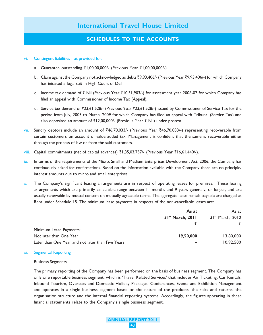## SCHEDULES TO THE ACCOUNTS

#### vi. Contingent liabilities not provided for:

- a. Guarantee outstanding ₹1,00,00,000/- (Previous Year ₹1,00,00,000/-).
- b. Claim against the Company not acknowledged as debts ₹9,93,406/- (Previous Year ₹9,93,406/-) for which Company has initiated a legal suit in High Court of Delhi.
- c. Income tax demand of  $\bar{\tau}$  Nil (Previous Year  $\bar{\tau}10,31,903/$ ) for assessment year 2006-07 for which Company has filed an appeal with Commissioner of Income Tax (Appeal).
- d. Service tax demand of `23,61,528/- (Previous Year `23,61,528/-) issued by Commissioner of Service Tax for the period from July, 2003 to March, 2009 for which Company has filed an appeal with Tribunal (Service Tax) and also deposited an amount of  $\bar{\tau}$ 12,00,000/- (Previous Year  $\bar{\tau}$  Nil) under protest.
- vii. Sundry debtors include an amount of  $\overline{46,70,033/}$  (Previous Year  $\overline{46,70,033/}$ ) representing recoverable from certain customers on account of value added tax. Management is confident that the same is recoverable either through the process of law or from the said customers.
- viii. Capital commitments (net of capital advances) ₹1,35,03,757/- (Previous Year ₹16,61,440/-).
- ix. In terms of the requirements of the Micro, Small and Medium Enterprises Development Act, 2006, the Company has continuously asked for confirmations. Based on the information available with the Company there are no principle/ interest amounts due to micro and small enterprises.
- x. The Company's significant leasing arrangements are in respect of operating leases for premises. These leasing arrangements which are primarily cancellable range between 11 months and 9 years generally, or longer, and are usually renewable by mutual consent on mutually agreeable terms. The aggregate lease rentals payable are charged as Rent under Schedule 15. The minimum lease payments in respects of the non-cancellable leases are:

|                                                   | As at                        | As at                        |
|---------------------------------------------------|------------------------------|------------------------------|
|                                                   | 31 <sup>st</sup> March, 2011 | 31 <sup>st</sup> March, 2010 |
|                                                   |                              |                              |
| Minimum Lease Payments:                           |                              |                              |
| Not later than One Year                           | 19,50,000                    | 13,80,000                    |
| Later than One Year and not later than Five Years | $\overline{\phantom{a}}$     | 10,92,500                    |

#### xi. Segmental Reporting

#### Business Segments

The primary reporting of the Company has been performed on the basis of business segment. The Company has only one reportable business segment, which is 'Travel Related Services' that includes Air Ticketing, Car Rentals, Inbound Tourism, Overseas and Domestic Holiday Packages, Conferences, Events and Exhibition Management and operates in a single business segment based on the nature of the products, the risks and returns, the organisation structure and the internal financial reporting systems. Accordingly, the figures appearing in these financial statements relate to the Company's single business segment.

> ANNUAL REPORT 2011 43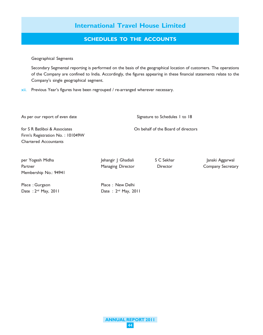## SCHEDULES TO THE ACCOUNTS

#### Geographical Segments

Secondary Segmental reporting is performed on the basis of the geographical location of customers. The operations of the Company are confined to India. Accordingly, the figures appearing in these financial statements relate to the Company's single geographical segment.

xii. Previous Year's figures have been regrouped / re-arranged wherever necessary.

As per our report of even date Signature to Schedules 1 to 18

for S R Batliboi & Associates On behalf of the Board of directors Firm's Registration No. : 101049W Chartered Accountants

per Yogesh Midha Jehangir J Ghadiali S C Sekhar Janaki Aggarwal Partner **Managing Director** Director **Company Secretary** Director Company Secretary Membership No.: 94941

Date : 2<sup>nd</sup> May, 2011 Date : 2<sup>nd</sup> May, 2011

Place : Gurgaon Place : New Delhi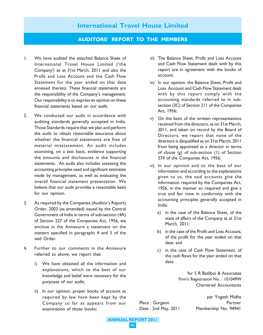#### AUDITORS' REPORT TO THE MEMBERS

- 1. We have audited the attached Balance Sheet of International Travel House Limited ('the Company') as at 31st March, 2011 and also the Profit and Loss Account and the Cash Flow Statement for the year ended on that date annexed thereto. These financial statements are the responsibility of the Company's management. Our responsibility is to express an opinion on these financial statements based on our audit.
- 2. We conducted our audit in accordance with auditing standards generally accepted in India. Those Standards require that we plan and perform the audit to obtain reasonable assurance about whether the financial statements are free of material misstatement. An audit includes examining, on a test basis, evidence supporting the amounts and disclosures in the financial statements. An audit also includes assessing the accounting principles used and significant estimates made by management, as well as evaluating the overall financial statement presentation. We believe that our audit provides a reasonable basis for our opinion.
- 3. As required by the Companies (Auditor's Report) Order, 2003 (as amended) issued by the Central Government of India in terms of sub-section (4A) of Section 227 of the Companies Act, 1956, we enclose in the Annexure a statement on the matters specified in paragraphs 4 and 5 of the said Order.
- 4. Further to our comments in the Annexure referred to above, we report that:
	- i) We have obtained all the information and explanations, which to the best of our knowledge and belief were necessary for the purposes of our audit;
	- ii) In our opinion, proper books of account as required by law have been kept by the Company so far as appears from our examination of those books;
- iii) The Balance Sheet, Profit and Loss Account and Cash Flow Statement dealt with by this report are in agreement with the books of account;
- iv) In our opinion, the Balance Sheet, Profit and Loss Account and Cash Flow Statement dealt with by this report comply with the accounting standards referred to in subsection (3C) of Section 211 of the Companies Act, 1956;
- v) On the basis of the written representations received from the directors, as on 31st March, 2011, and taken on record by the Board of Directors, we report that none of the directors is disqualified as on 31st March, 2011 from being appointed as a director in terms of clause (g) of sub-section (1) of Section 274 of the Companies Act, 1956;
- vi) In our opinion and to the best of our information and according to the explanations given to us, the said accounts give the information required by the Companies Act, 1956, in the manner so required and give a true and fair view in conformity with the accounting principles generally accepted in India:
	- a) in the case of the Balance Sheet, of the state of affairs of the Company as at 31st March, 2011;
	- b) in the case of the Profit and Loss Account, of the profit for the year ended on that date; and
	- c) in the case of Cash Flow Statement, of the cash flows for the year ended on that date.

for S R Batliboi & Associates Firm's Registration No. : 101049W Chartered Accountants

per Yogesh Midha Place : Gurgaon **Partner** Date : 2nd May, 2011 Membership No. 94941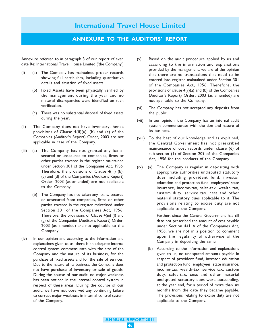#### ANNEXURE TO THE AUDITORS' REPORT

Annexure referred to in paragraph 3 of our report of even date Re: International Travel House Limited ('the Company')

- (i) (a) The Company has maintained proper records showing full particulars, including quantitative details and situation of fixed assets.
	- (b) Fixed Assets have been physically verified by the management during the year and no material discrepancies were identified on such verification.
	- (c) There was no substantial disposal of fixed assets during the year.
- (ii) The Company does not have inventory, hence provisions of Clause 4(ii)(a), (b) and (c) of the Companies (Auditor's Report) Order, 2003 are not applicable in case of the Company.
- (iii) (a) The Company has not granted any loans, secured or unsecured to companies, firms or other parties covered in the register maintained under Section 301 of the Companies Act, 1956. Therefore, the provisions of Clause 4(iii) (b), (c) and (d) of the Companies (Auditor's Report) Order, 2003 (as amended) are not applicable to the Company.
	- (b) The Company has not taken any loans, secured or unsecured from companies, firms or other parties covered in the register maintained under Section 301 of the Companies Act, 1956. Therefore, the provisions of Clause 4(iii) (f) and (g) of the Companies (Auditor's Report) Order, 2003 (as amended) are not applicable to the Company.
- (iv) In our opinion and according to the information and explanations given to us, there is an adequate internal control system commensurate with the size of the Company and the nature of its business, for the purchase of fixed assets and for the sale of services. Due to the nature of its business, the Company does not have purchase of inventory or sale of goods. During the course of our audit, no major weakness has been noticed in the internal control system in respect of these areas. During the course of our audit, we have not observed any continuing failure to correct major weakness in internal control system of the Company.
- (v) Based on the audit procedure applied by us and according to the information and explanations provided by the management, we are of the opinion that there are no transactions that need to be entered into register maintained under Section 301 of the Companies Act, 1956. Therefore, the provisions of clause 4(v)(a) and (b) of the Companies (Auditor's Report) Order, 2003 (as amended) are not applicable to the Company.
- (vi) The Company has not accepted any deposits from the public.
- (vii) In our opinion, the Company has an internal audit system commensurate with the size and nature of its business.
- (viii) To the best of our knowledge and as explained, the Central Government has not prescribed maintenance of cost records under clause (d) of sub-section (1) of Section 209 of the Companies Act, 1956 for the products of the Company.
- (ix) (a) The Company is regular in depositing with appropriate authorities undisputed statutory dues including provident fund, investor education and protection fund, employees' state insurance, income-tax, sales-tax, wealth tax, custom duty, service tax, cess and other material statutory dues applicable to it. The provisions relating to excise duty are not applicable to the Company.

Further, since the Central Government has till date not prescribed the amount of cess payable under Section 441 A of the Companies Act, 1956, we are not in a position to comment upon the regularity of otherwise of the Company in depositing the same.

(b) According to the information and explanations given to us, no undisputed amounts payable in respect of provident fund, investor education and protection fund, employees' state insurance, income-tax, wealth-tax, service tax, custom duty, sales-tax, cess and other material undisputed statutory dues were outstanding, at the year end, for a period of more than six months from the date they became payable. The provisions relating to excise duty are not applicable to the Company.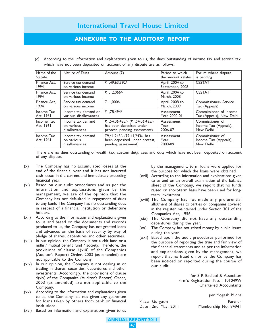## ANNEXURE TO THE AUDITORS' REPORT

(c) According to the information and explanations given to us, the dues outstanding of income tax and service tax, which have not been deposited on account of any dispute are as follows:

| Name of the<br><b>Statute</b> | Nature of Dues                                   | Amount (₹)                                                                                 | Period to which<br>the amount relates | Forum where dispute<br>is pending                     |
|-------------------------------|--------------------------------------------------|--------------------------------------------------------------------------------------------|---------------------------------------|-------------------------------------------------------|
| Finance Act.<br>1994          | Service tax demand<br>on various income          | ₹1,49,63,392/-                                                                             | April, 2004 to<br>September, 2008     | <b>CESTAT</b>                                         |
| Finance Act.<br>1994          | Service tax demand<br>on various income          | ₹1,12,066/-                                                                                | April, 2004 to<br>March, 2008         | <b>CESTAT</b>                                         |
| Finance Act.<br>1994          | Service tax demand<br>on various income          | ₹11.000/-                                                                                  | April, 2008 to<br>March, 2009         | Commissioner-Service<br>Tax (Appeals)                 |
| Income Tax<br>Act, 1961       | Income tax demand on<br>various disallowances    | ₹1.78.494/-                                                                                | Assessment<br>Year 2000-01            | Commissioner of Income<br>Tax (Appeals), New Delhi    |
| Income Tax<br>Act, 1961       | Income tax demand<br>on various<br>disallowances | ₹1,54,06,435/- (₹1,54,06,435/-<br>has been deposited under<br>protest, pending assessment) | Assessment<br>Year<br>2006-07         | Commissioner of<br>Income Tax (Appeals),<br>New Delhi |
| Income Tax<br>Act, 1961       | Income tax demand<br>on various<br>disallowances | ₹9,41,243/- (₹9,41,243/- has<br>been deposited under protest,<br>pending assessment)       | Assessment<br>Year<br>2008-09         | Commissioner of<br>Income Tax (Appeals),<br>New Delhi |

There are no dues outstanding of wealth tax, custom duty, cess and duty which have not been deposited on account of any dispute.

- (x) The Company has no accumulated losses at the end of the financial year and it has not incurred cash losses in the current and immediately preceding financial year.
- (xi) Based on our audit procedures and as per the information and explanations given by the management, we are of the opinion that the Company has not defaulted in repayment of dues to any bank. The Company has no outstanding dues in respect of a financial institution or debenture holders.
- (xii) According to the information and explanations given to us and based on the documents and records produced to us, the Company has not granted loans and advances on the basis of security by way of pledge of shares, debentures and other securities.
- (xiii) In our opinion, the Company is not a chit fund or a nidhi / mutual benefit fund / society. Therefore, the provisions of clause 4(xiii) of the Companies (Auditor's Report) Order, 2003 (as amended) are not applicable to the Company.
- (xiv) In our opinion, the Company is not dealing in or trading in shares, securities, debentures and other investments. Accordingly, the provisions of clause 4(xiv) of the Companies (Auditor's Report) Order, 2003 (as amended) are not applicable to the Company.
- (xv) According to the information and explanations given to us, the Company has not given any guarantee for loans taken by others from bank or financial institutions.
- (xvi) Based on information and explanations given to us

by the management, term loans were applied for the purpose for which the loans were obtained.

- (xvii) According to the information and explanations given to us and on an overall examination of the balance sheet of the Company, we report that no funds raised on short-term basis have been used for longterm investment.
- (xviii) The Company has not made any preferential allotment of shares to parties or companies covered in the register maintained under Section 301 of the Companies Act, 1956.
- (xix) The Company did not have any outstanding debentures during the year.
- (xx) The Company has not raised money by public issues during the year.
- (xxi) Based upon the audit procedures performed for the purpose of reporting the true and fair view of the financial statements and as per the information and explanations given by the management, we report that no fraud on or by the Company has been noticed or reported during the course of our audit.

for S R Batliboi & Associates Firm's Registration No. : 101049W Chartered Accountants

per Yogesh Midha Place : Gurgaon Partner

Date : 2nd May, 2011 Membership No. 94941

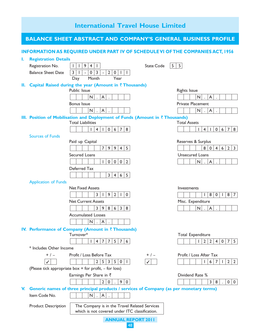|    |                             | <b>International Travel House Limited</b>                                                                                                                           |                                                                                   |
|----|-----------------------------|---------------------------------------------------------------------------------------------------------------------------------------------------------------------|-----------------------------------------------------------------------------------|
|    |                             | <b>BALANCE SHEET ABSTRACT AND COMPANY'S GENERAL BUSINESS PROFILE</b>                                                                                                |                                                                                   |
|    |                             | <b>INFORMATION AS REQUIRED UNDER PART IV OF SCHEDULE VI OF THE COMPANIES ACT, 1956</b>                                                                              |                                                                                   |
| ı. | <b>Registration Details</b> |                                                                                                                                                                     |                                                                                   |
|    | Registration No.            | 9 <sup>1</sup><br>5<br>4 <br>$\mathbf{I}$<br><b>State Code</b><br>Τ.                                                                                                | 5                                                                                 |
|    | <b>Balance Sheet Date</b>   | $\overline{3}$<br>2<br>3 <sup>1</sup><br>$\overline{0}$<br>$\mathsf 0$<br>$\mathbf{L}$<br>$\mathbf{I}$<br>$\mathcal{L}$<br>$\overline{\phantom{a}}$<br>$\mathbf{I}$ |                                                                                   |
|    |                             | Month<br>Year<br>Day                                                                                                                                                |                                                                                   |
| н. |                             | Capital Raised during the year (Amount in ₹ Thousands)                                                                                                              |                                                                                   |
|    |                             | Public Issue                                                                                                                                                        | <b>Rights Issue</b>                                                               |
|    |                             | N<br>A<br>$\ddot{\phantom{a}}$<br>$\sim$                                                                                                                            | $N$ .<br>A                                                                        |
|    |                             | <b>Bonus Issue</b>                                                                                                                                                  | <b>Private Placement</b>                                                          |
|    |                             | A<br>$\mathsf{N}$<br>$\ddot{\phantom{a}}$<br>$\ddot{\phantom{a}}$                                                                                                   | N<br>$\mathsf{A}$<br>$\ddot{\phantom{a}}$<br>$\ddot{\phantom{a}}$                 |
|    |                             | III. Position of Mobilisation and Deployment of Funds (Amount in $\bar{\tau}$ Thousands)<br><b>Total Liabilities</b>                                                | <b>Total Assets</b>                                                               |
|    |                             | 0 6 7<br>8<br>$\mathbf{L}$<br>$\overline{4}$<br>$\mathbf{L}$                                                                                                        | $\overline{7}$<br>4 <br>$\mathbf{L}$<br>$\overline{0}$<br>6 <br>8<br>$\mathbf{I}$ |
|    | <b>Sources of Funds</b>     |                                                                                                                                                                     |                                                                                   |
|    |                             | Paid up Capital                                                                                                                                                     | Reserves & Surplus                                                                |
|    |                             | 9 9 4<br>7 <sup>1</sup><br>$5\overline{5}$                                                                                                                          | $2^{\circ}$<br>$\overline{3}$<br>8 0<br>4 <br>6                                   |
|    |                             | <b>Secured Loans</b>                                                                                                                                                | Unsecured Loans                                                                   |
|    |                             | 0 0 0<br>$\overline{2}$<br>$\mathbf{L}$                                                                                                                             | $\mathsf{N}$<br>$\mathsf{A}$<br>$\mathcal{L}$                                     |
|    |                             | Deferred Tax                                                                                                                                                        |                                                                                   |
|    |                             | $3 \mid 4 \mid 6 \mid 5$                                                                                                                                            |                                                                                   |
|    | <b>Application of Funds</b> |                                                                                                                                                                     |                                                                                   |
|    |                             | <b>Net Fixed Assets</b>                                                                                                                                             | Investments                                                                       |
|    |                             | 3 <sup>1</sup><br>9<br>$\overline{2}$<br>$\mathbf{I}$<br>$\mathbf{L}$<br>$\mathbf 0$                                                                                | 8<br>$\mathbf 0$<br>8<br>$\overline{7}$<br>$\mathbf{L}$<br>$\mathbf{I}$           |
|    |                             | <b>Net Current Assets</b>                                                                                                                                           | Misc. Expenditure                                                                 |
|    |                             | 6 <sup>1</sup><br>$\overline{3}$<br>3 <sup>1</sup><br>8<br>9<br>8                                                                                                   | $\mathsf{N}$<br>A<br>$\Delta$<br>$\ddot{\phantom{a}}$                             |
|    |                             | <b>Accumulated Losses</b>                                                                                                                                           |                                                                                   |
|    |                             | $ N $ . $ A $                                                                                                                                                       |                                                                                   |
|    |                             | IV. Performance of Company (Amount in ₹Thousands)                                                                                                                   |                                                                                   |
|    |                             | Turnover*                                                                                                                                                           | <b>Total Expenditure</b>                                                          |
|    |                             | 4   7   7   5   7<br>$\Box$<br>6                                                                                                                                    | 2 2 <br>4 <br>$0 \mid 7$<br>5 <sup>5</sup><br>$\mathbf{L}$                        |
|    | * Includes Other Income     |                                                                                                                                                                     |                                                                                   |
|    | $+$ / $-$                   | Profit / Loss Before Tax<br>$+$ / $-$                                                                                                                               | Profit / Loss After Tax                                                           |
|    |                             | 5<br>5<br>$\overline{2}$<br>3<br>$\mathbf 0$<br>$\mathbf{I}$                                                                                                        | $\overline{2}$<br>7<br>$\overline{2}$<br>6<br>J.                                  |
|    |                             | (Please tick appropriate box + for profit, - for loss)                                                                                                              |                                                                                   |
|    |                             | Earnings Per Share in ₹                                                                                                                                             | Dividend Rate %                                                                   |
|    |                             | $\overline{2}$<br>$\mathbf 0$<br>9<br>$\pmb{0}$                                                                                                                     | $\mathbf{3}$<br>8<br>$\mathbf 0$<br>$\mathbf{0}$                                  |
| V. |                             | Generic names of three principal products / services of Company (as per monetary terms)                                                                             |                                                                                   |
|    | Item Code No.               | $\mathsf{N}$<br>A<br>$\sim$<br>$\Delta$                                                                                                                             |                                                                                   |
|    | <b>Product Description</b>  | The Company is in the Travel Related Services<br>which is not covered under ITC classification.                                                                     |                                                                                   |

ANNUAL REPORT 2011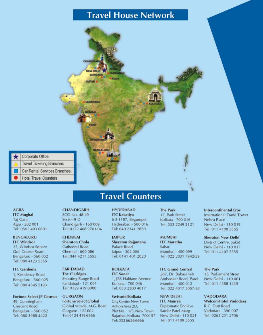# **Travel House Network**



# **Travel Counters**

#### **AGRA ITC Mughal** Taj Ganj Agra - 282 001 Tel: 0562 403 0601

BENGALURU **ITC Windsor** 25, Windsor Square Golf Course Road Bengaluru - 560 052 Tel: 080 4123 5555

**ITC** Gardenia 1, Residency Road Bengaluru - 560 025 Tel: 080 4345 5193

**Fortune Select JP Cosmos** 49, Cunningham **Crescent Road** Bengaluru - 560 052 Tel: 080 3988 4422

CHANDIGARH SCO No. 48-49 Sector 9 D Chandigarh - 160 009 Tel: 0172 468 9701-04

**CHENNAI Sheraton Chola** Cathedral Road Chennai - 600 086 Tel: 044 4217 5555

**FARIDABAD The Claridges** Shooting Range Road Faridabad - 121 001 Tel: 0129 419 0000

**GURGAON Fortune Select Global** Global Arcade, M.G. Road Gurgaon - 122 002 Tel: 0124 419 6666

**HYDERABAD ITC Kakatiya** 6-3-1187, Begumpet Hyderabad - 500 016 Tel: 040 2341 2850

**JAIPUR Sheraton Rajputana** Palace Road Jaipur - 302 006 Tel: 0141 401 2020

**KOLKATA ITC** Sonar 1, JBS Haldane Avenue Kolkata - 700 046 Tel: 033 2300 4017

Swissotel Kolkata City Centre New Town Action Area 2D, PlotNo. 11/5, New Town Rajarhat, Kolkata - 700157 Tel: 033 6626 6666

**The Park** 17, Park Street Kolkata - 700 016 Tel: 033 2249 3121

**MUMBAI ITC** Maratha Sahar Mumbai - 400 099 Tel: 022 2831 7942/29

**ITC Grand Central** 287, Dr. Babasaheb Ambedkar Road, Parel Mumbai - 400 012 Tel: 022 4017 5057-58

**NEW DELHI ITC Maurya** Diplomatic Enclave Sardar Patel Marg New Delhi - 110 021 Tel: 011 4109 5555

**Intercontinental Eros** International Trade Tower Nehru Place New Delhi - 110 019 Tel: 011 4108 5555

**Sheraton New Delhi District Centre, Saket** New Delhi - 110 017 Tel: 011 4107 5555

**The Park** 15, Parliament Street New Delhi - 110 001 Tel: 011 4358 1435

**VADODARA** WelcomHotel Vadodara R.C. Dutt Road Vadodara - 390 007 Tel: 0265 231 2706